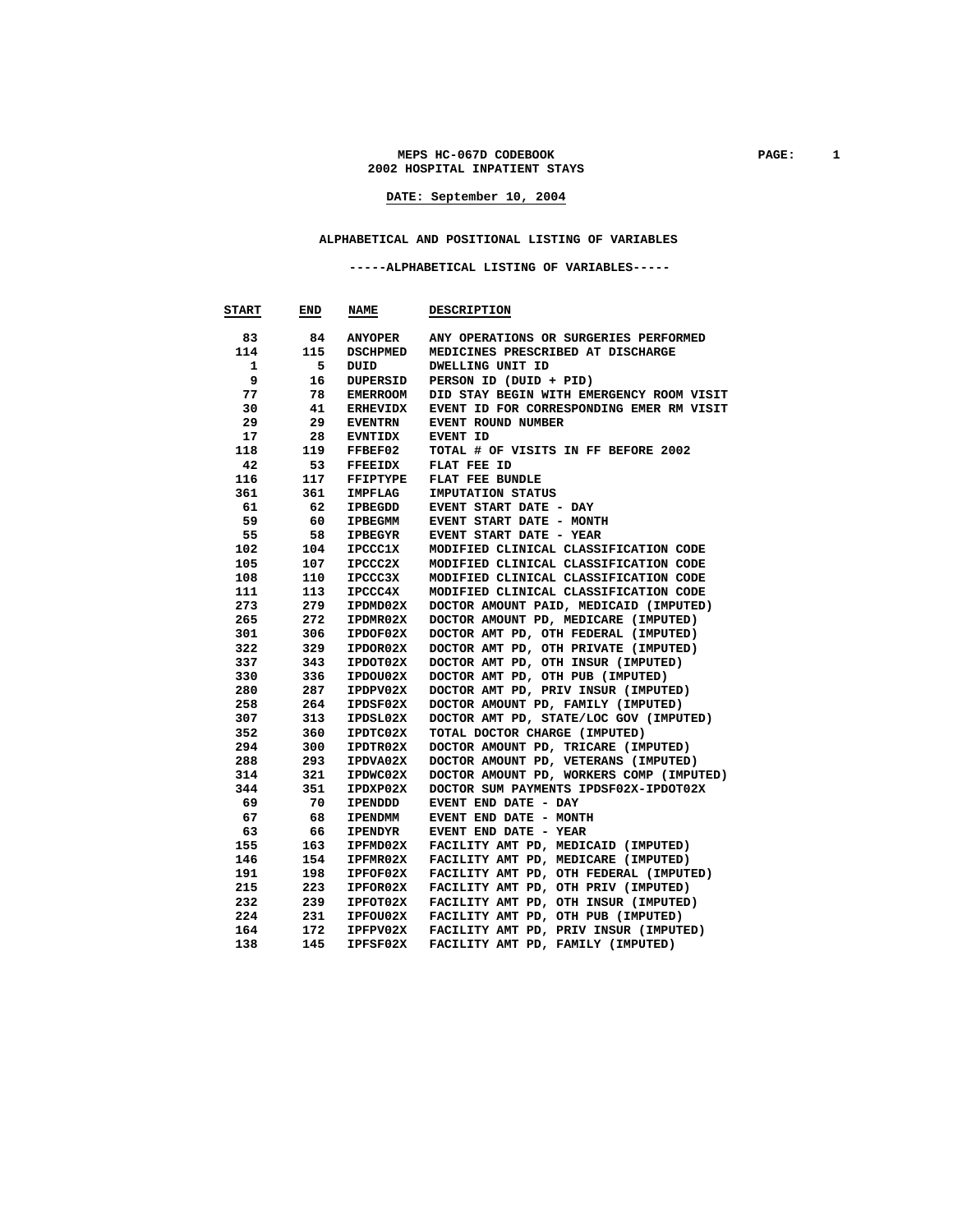MEPS HC-067D CODEBOOK **PAGE:** 1 **2002 HOSPITAL INPATIENT STAYS** 

**DATE: September 10, 2004**

# **ALPHABETICAL AND POSITIONAL LISTING OF VARIABLES**

#### **-----ALPHABETICAL LISTING OF VARIABLES-----**

| <b>START</b> | END | <b>NAME</b>     | <b>DESCRIPTION</b>                       |
|--------------|-----|-----------------|------------------------------------------|
| 83           | 84. | ANYOPER         | ANY OPERATIONS OR SURGERIES PERFORMED    |
| 114          | 115 | <b>DSCHPMED</b> | MEDICINES PRESCRIBED AT DISCHARGE        |
| 1            | 5   | DUID            | DWELLING UNIT ID                         |
| 9            | 16  | DUPERSID        | PERSON ID (DUID + PID)                   |
| 77           | 78  | EMERROOM        | DID STAY BEGIN WITH EMERGENCY ROOM VISIT |
| 30           | 41  | <b>ERHEVIDX</b> | EVENT ID FOR CORRESPONDING EMER RM VISIT |
| 29           | 29  | <b>EVENTRN</b>  | EVENT ROUND NUMBER                       |
| 17           | 28  | <b>EVNTIDX</b>  | EVENT ID                                 |
| 118          | 119 | FFBEF02         | TOTAL # OF VISITS IN FF BEFORE 2002      |
| 42           | 53  | <b>FFEEIDX</b>  | FLAT FEE ID                              |
| 116          | 117 | FFIPTYPE        | FLAT FEE BUNDLE                          |
| 361          | 361 | IMPFLAG         | IMPUTATION STATUS                        |
| 61           | -62 | IPBEGDD         | EVENT START DATE - DAY                   |
| 59           | 60  | IPBEGMM         | EVENT START DATE - MONTH                 |
| 55           | 58  | <b>IPBEGYR</b>  | EVENT START DATE - YEAR                  |
| 102          | 104 | IPCCC1X         | MODIFIED CLINICAL CLASSIFICATION CODE    |
| 105          | 107 | IPCCC2X         | MODIFIED CLINICAL CLASSIFICATION CODE    |
| 108          | 110 | IPCCC3X         | MODIFIED CLINICAL CLASSIFICATION CODE    |
| 111          | 113 | IPCCC4X         | MODIFIED CLINICAL CLASSIFICATION CODE    |
| 273          | 279 | IPDMD02X        | DOCTOR AMOUNT PAID, MEDICAID (IMPUTED)   |
| 265          | 272 | IPDMR02X        | DOCTOR AMOUNT PD, MEDICARE (IMPUTED)     |
| 301          | 306 | IPDOF02X        | DOCTOR AMT PD, OTH FEDERAL (IMPUTED)     |
| 322          | 329 | IPDOR02X        | DOCTOR AMT PD, OTH PRIVATE (IMPUTED)     |
| 337          | 343 | IPDOT02X        | DOCTOR AMT PD, OTH INSUR (IMPUTED)       |
| 330          | 336 | IPDOU02X        | DOCTOR AMT PD, OTH PUB (IMPUTED)         |
| 280          | 287 | IPDPV02X        | DOCTOR AMT PD, PRIV INSUR (IMPUTED)      |
| 258          | 264 | IPDSF02X        | DOCTOR AMOUNT PD, FAMILY (IMPUTED)       |
| 307          | 313 | IPDSL02X        | DOCTOR AMT PD, STATE/LOC GOV (IMPUTED)   |
| 352          | 360 | IPDTC02X        | TOTAL DOCTOR CHARGE (IMPUTED)            |
| 294          | 300 | IPDTR02X        | DOCTOR AMOUNT PD, TRICARE (IMPUTED)      |
| 288          | 293 | IPDVA02X        | DOCTOR AMOUNT PD, VETERANS (IMPUTED)     |
| 314          | 321 | IPDWC02X        | DOCTOR AMOUNT PD, WORKERS COMP (IMPUTED) |
| 344          | 351 | IPDXP02X        | DOCTOR SUM PAYMENTS IPDSF02X-IPDOT02X    |
| 69           | 70  | IPENDDD         | EVENT END DATE - DAY                     |
| 67           | 68  | <b>IPENDMM</b>  | EVENT END DATE - MONTH                   |
| 63           | 66  | <b>IPENDYR</b>  | EVENT END DATE - YEAR                    |
| 155          | 163 | IPFMD02X        | FACILITY AMT PD, MEDICAID (IMPUTED)      |
| 146          | 154 | IPFMR02X        | FACILITY AMT PD, MEDICARE (IMPUTED)      |
| 191          | 198 | IPFOF02X        | FACILITY AMT PD, OTH FEDERAL (IMPUTED)   |
| 215          | 223 | <b>IPFOR02X</b> | FACILITY AMT PD, OTH PRIV (IMPUTED)      |
| 232          | 239 | IPFOT02X        | FACILITY AMT PD, OTH INSUR (IMPUTED)     |
| 224          | 231 | IPFOU02X        | FACILITY AMT PD, OTH PUB (IMPUTED)       |
| 164          | 172 | IPFPV02X        | FACILITY AMT PD, PRIV INSUR (IMPUTED)    |
| 138          | 145 | IPFSF02X        | FACILITY AMT PD, FAMILY (IMPUTED)        |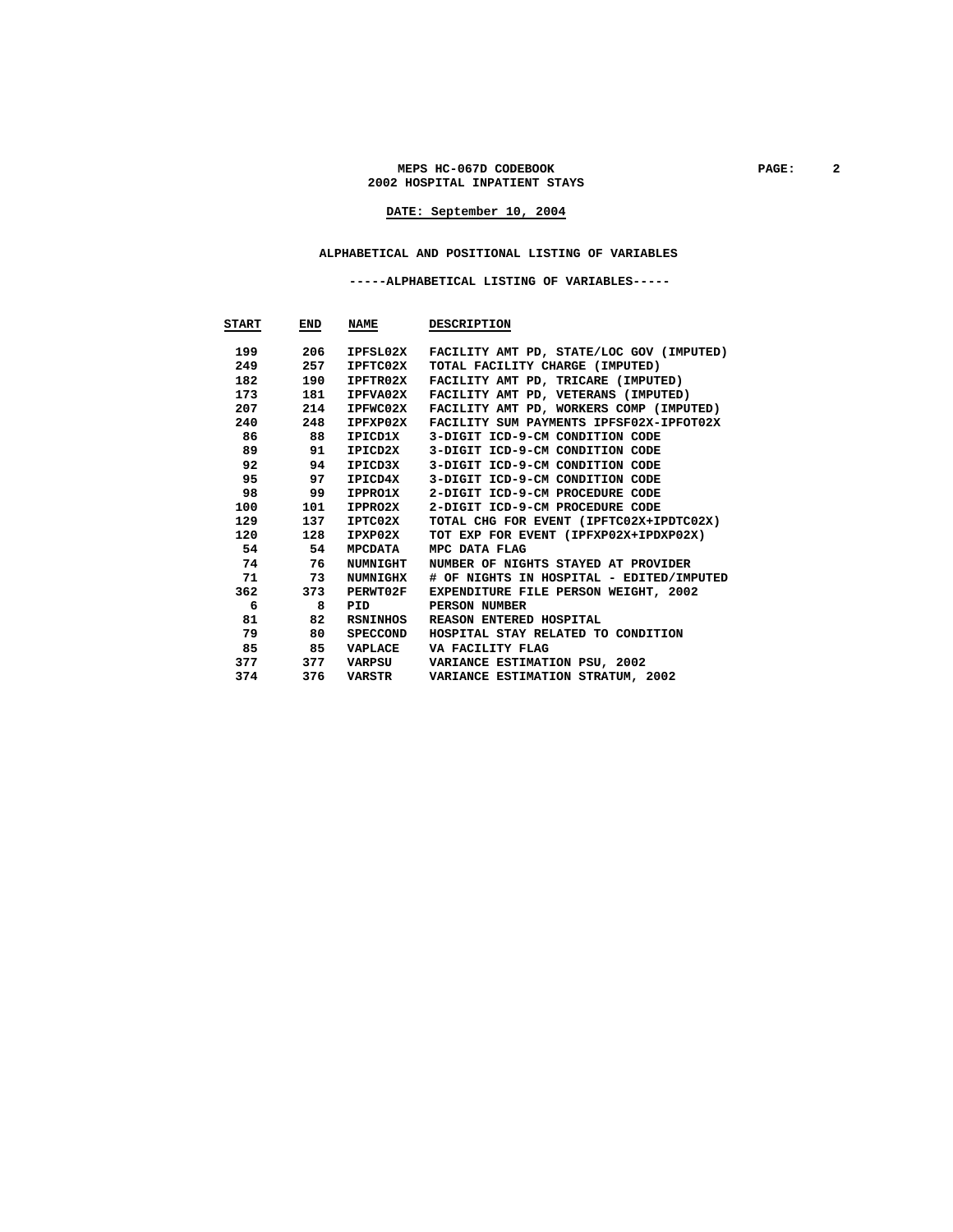#### **MEPS HC-067D CODEBOOK PAGE: 2 2002 HOSPITAL INPATIENT STAYS**

# **DATE: September 10, 2004**

#### **ALPHABETICAL AND POSITIONAL LISTING OF VARIABLES**

 **-----ALPHABETICAL LISTING OF VARIABLES-----** 

| START | END        | <b>NAME</b>     | <b>DESCRIPTION</b>                       |
|-------|------------|-----------------|------------------------------------------|
| 199   | 206        | IPFSL02X        | FACILITY AMT PD, STATE/LOC GOV (IMPUTED) |
| 249   | 257        | IPFTC02X        | TOTAL FACILITY CHARGE (IMPUTED)          |
| 182   | 190        | IPFTR02X        | FACILITY AMT PD, TRICARE (IMPUTED)       |
| 173   | 181        | IPFVA02X        | FACILITY AMT PD, VETERANS (IMPUTED)      |
|       | 207<br>214 | IPFWC02X        | FACILITY AMT PD, WORKERS COMP (IMPUTED)  |
| 240   | 248        | IPFXP02X        | FACILITY SUM PAYMENTS IPFSF02X-IPFOT02X  |
| 86    | 88         | IPICD1X         | 3-DIGIT ICD-9-CM CONDITION CODE          |
| 89    | 91         | IPICD2X         | 3-DIGIT ICD-9-CM CONDITION CODE          |
| 92    | 94         | IPICD3X         | 3-DIGIT ICD-9-CM CONDITION CODE          |
| 95    | 97         | IPICD4X         | 3-DIGIT ICD-9-CM CONDITION CODE          |
| 98    | 99         | IPPRO1X         | 2-DIGIT ICD-9-CM PROCEDURE CODE          |
| 100   | 101        | <b>IPPRO2X</b>  | 2-DIGIT ICD-9-CM PROCEDURE CODE          |
| 129   | 137        | IPTC02X         | TOTAL CHG FOR EVENT (IPFTC02X+IPDTC02X)  |
|       | 120<br>128 | IPXP02X         | TOT EXP FOR EVENT (IPFXP02X+IPDXP02X)    |
|       | 54<br>54   | MPCDATA         | MPC DATA FLAG                            |
|       | 74<br>76   | NUMNIGHT        | NUMBER OF NIGHTS STAYED AT PROVIDER      |
|       | 71<br>73   | <b>NUMNIGHX</b> | # OF NIGHTS IN HOSPITAL - EDITED/IMPUTED |
| 362   | 373        | PERWT02F        | EXPENDITURE FILE PERSON WEIGHT, 2002     |
|       | 6<br>8     | PID             | PERSON NUMBER                            |
| 81    | 82         | RSNINHOS        | REASON ENTERED HOSPITAL                  |
| 79    | 80         | SPECCOND        | HOSPITAL STAY RELATED TO CONDITION       |
|       | 85<br>85   | VAPLACE         | VA FACILITY FLAG                         |
| 377   | 377        | VARPSU          | VARIANCE ESTIMATION PSU, 2002            |
| 374   | 376        | VARSTR          | VARIANCE ESTIMATION STRATUM, 2002        |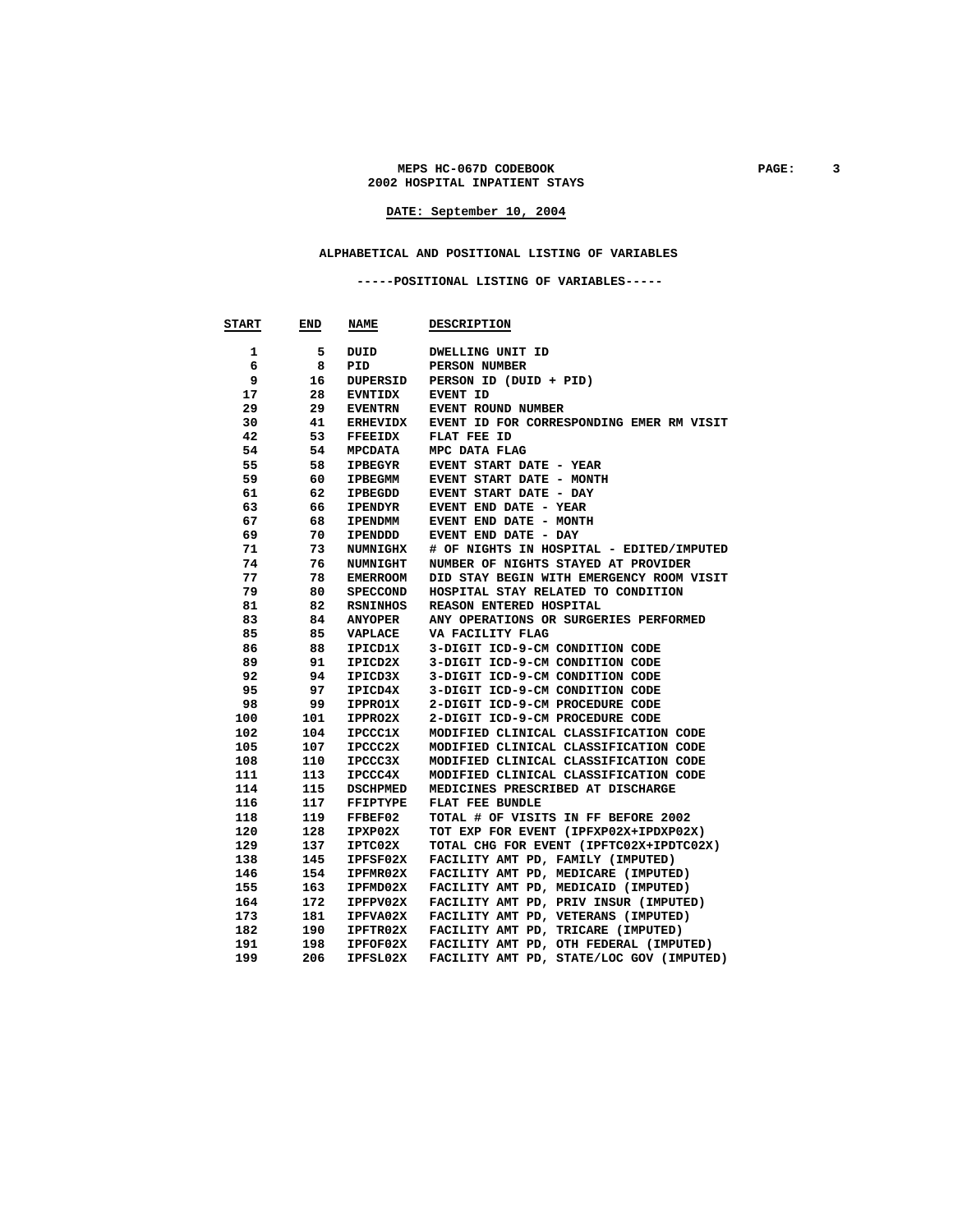#### MEPS HC-067D CODEBOOK PAGE: 3 **2002 HOSPITAL INPATIENT STAYS**

# **DATE: September 10, 2004**

#### **ALPHABETICAL AND POSITIONAL LISTING OF VARIABLES**

 **-----POSITIONAL LISTING OF VARIABLES-----** 

| <b>START</b> | END | <b>NAME</b>     | <b>DESCRIPTION</b>                       |
|--------------|-----|-----------------|------------------------------------------|
| 1            | 5   | DUID            | DWELLING UNIT ID                         |
| 6            | 8   | PID             | PERSON NUMBER                            |
| 9            | 16  | DUPERSID        | PERSON ID (DUID + PID)                   |
| 17           | 28  | <b>EVNTIDX</b>  | <b>EVENT ID</b>                          |
| 29           | 29  | <b>EVENTRN</b>  | EVENT ROUND NUMBER                       |
| 30           | 41  | <b>ERHEVIDX</b> | EVENT ID FOR CORRESPONDING EMER RM VISIT |
| 42           | 53  | <b>FFEEIDX</b>  | FLAT FEE ID                              |
| 54           | 54  | <b>MPCDATA</b>  | MPC DATA FLAG                            |
| 55           | 58  | <b>IPBEGYR</b>  | EVENT START DATE - YEAR                  |
| 59           | 60  | IPBEGMM         | EVENT START DATE - MONTH                 |
| 61           | 62  | <b>IPBEGDD</b>  | <b>EVENT START DATE - DAY</b>            |
| 63           | 66  | <b>IPENDYR</b>  | EVENT END DATE - YEAR                    |
| 67           | 68  | <b>IPENDMM</b>  | EVENT END DATE - MONTH                   |
| 69           | 70  | IPENDDD         | EVENT END DATE - DAY                     |
| 71           | 73  | <b>NUMNIGHX</b> | # OF NIGHTS IN HOSPITAL - EDITED/IMPUTED |
| 74           | 76  | <b>NUMNIGHT</b> | NUMBER OF NIGHTS STAYED AT PROVIDER      |
| 77           | 78  | <b>EMERROOM</b> | DID STAY BEGIN WITH EMERGENCY ROOM VISIT |
| 79           | 80  | <b>SPECCOND</b> | HOSPITAL STAY RELATED TO CONDITION       |
| 81           | 82  | RSNINHOS        | REASON ENTERED HOSPITAL                  |
| 83           | 84  | <b>ANYOPER</b>  | ANY OPERATIONS OR SURGERIES PERFORMED    |
| 85           | 85  | VAPLACE         | VA FACILITY FLAG                         |
| 86           | 88  | IPICD1X         | 3-DIGIT ICD-9-CM CONDITION CODE          |
| 89           | 91  | IPICD2X         | 3-DIGIT ICD-9-CM CONDITION CODE          |
| 92           | 94  | IPICD3X         | 3-DIGIT ICD-9-CM CONDITION CODE          |
| 95           | 97  | IPICD4X         | 3-DIGIT ICD-9-CM CONDITION CODE          |
| 98           | 99  | <b>IPPRO1X</b>  | 2-DIGIT ICD-9-CM PROCEDURE CODE          |
| 100          | 101 | IPPRO2X         | 2-DIGIT ICD-9-CM PROCEDURE CODE          |
| 102          | 104 | <b>IPCCC1X</b>  | MODIFIED CLINICAL CLASSIFICATION CODE    |
| 105          | 107 | <b>IPCCC2X</b>  | MODIFIED CLINICAL CLASSIFICATION CODE    |
| 108          | 110 | <b>IPCCC3X</b>  | MODIFIED CLINICAL CLASSIFICATION CODE    |
| 111          | 113 | IPCCC4X         | MODIFIED CLINICAL CLASSIFICATION CODE    |
| 114          | 115 | <b>DSCHPMED</b> | MEDICINES PRESCRIBED AT DISCHARGE        |
| 116          | 117 | <b>FFIPTYPE</b> | FLAT FEE BUNDLE                          |
| 118          | 119 | FFBEF02         | TOTAL # OF VISITS IN FF BEFORE 2002      |
| 120          | 128 | IPXP02X         | TOT EXP FOR EVENT (IPFXP02X+IPDXP02X)    |
| 129          | 137 | IPTC02X         | TOTAL CHG FOR EVENT (IPFTC02X+IPDTC02X)  |
| 138          | 145 | IPFSF02X        | FACILITY AMT PD, FAMILY (IMPUTED)        |
| 146          | 154 | IPFMR02X        | FACILITY AMT PD, MEDICARE (IMPUTED)      |
| 155          | 163 | IPFMD02X        | FACILITY AMT PD, MEDICAID (IMPUTED)      |
| 164          | 172 | IPFPV02X        | FACILITY AMT PD, PRIV INSUR (IMPUTED)    |
| 173          | 181 | IPFVA02X        | FACILITY AMT PD, VETERANS (IMPUTED)      |
| 182          | 190 | IPFTR02X        | FACILITY AMT PD, TRICARE (IMPUTED)       |
| 191          | 198 | IPFOF02X        | FACILITY AMT PD, OTH FEDERAL (IMPUTED)   |
| 199          | 206 | IPFSL02X        | FACILITY AMT PD, STATE/LOC GOV (IMPUTED) |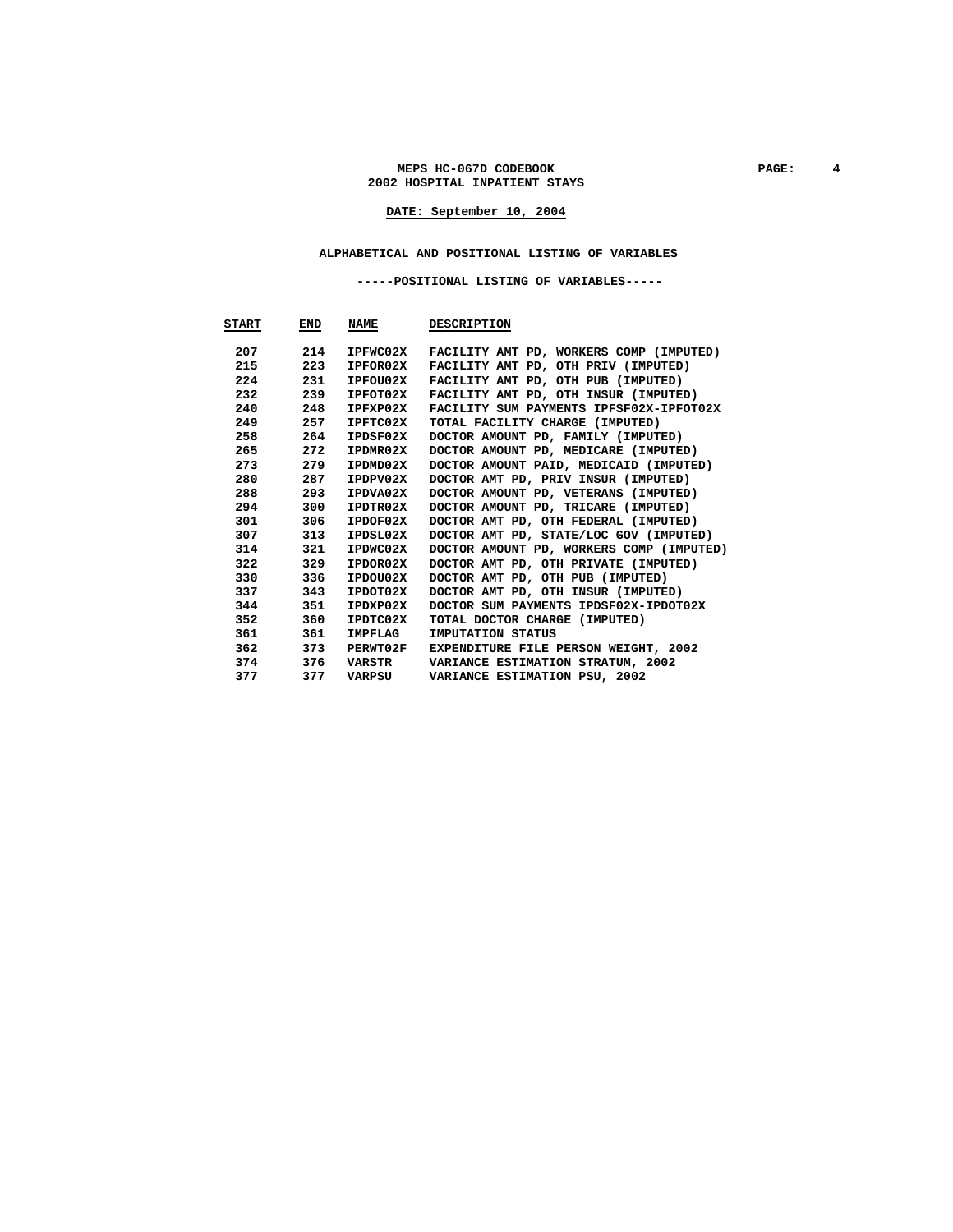#### MEPS HC-067D CODEBOOK PAGE: 4 **2002 HOSPITAL INPATIENT STAYS**

# **DATE: September 10, 2004**

#### **ALPHABETICAL AND POSITIONAL LISTING OF VARIABLES**

 **-----POSITIONAL LISTING OF VARIABLES-----** 

| <b>START</b> | END | <b>NAME</b>     | <b>DESCRIPTION</b>                          |
|--------------|-----|-----------------|---------------------------------------------|
| 207          | 214 | IPFWC02X        | FACILITY AMT PD, WORKERS COMP (IMPUTED)     |
| 215          | 223 | IPFOR02X        | FACILITY AMT PD, OTH PRIV (IMPUTED)         |
| 224          | 231 | IPFOU02X        | FACILITY AMT PD, OTH PUB (IMPUTED)          |
| 232          | 239 | IPFOT02X        | FACILITY AMT PD, OTH INSUR (IMPUTED)        |
| 240          | 248 | IPFXP02X        | FACILITY SUM PAYMENTS IPFSF02X-IPFOT02X     |
| 249          | 257 | IPFTC02X        | TOTAL FACILITY CHARGE (IMPUTED)             |
| 258          | 264 | IPDSF02X        | DOCTOR AMOUNT PD, FAMILY (IMPUTED)          |
| 265          | 272 | IPDMR02X        | DOCTOR AMOUNT PD, MEDICARE (IMPUTED)        |
| 273          | 279 | IPDMD02X        | DOCTOR AMOUNT PAID, MEDICAID (IMPUTED)      |
| 280          | 287 | IPDPV02X        | DOCTOR AMT PD, PRIV INSUR (IMPUTED)         |
| 288          | 293 | IPDVA02X        | DOCTOR AMOUNT PD, VETERANS (IMPUTED)        |
| 294          | 300 | IPDTR02X        | DOCTOR AMOUNT PD, TRICARE (IMPUTED)         |
| 301          | 306 | IPDOF02X        | DOCTOR AMT PD, OTH FEDERAL (IMPUTED)        |
| 307          | 313 | IPDSL02X        | DOCTOR AMT PD, STATE/LOC GOV (IMPUTED)      |
| 314          | 321 | IPDWC02X        | DOCTOR AMOUNT PD, WORKERS COMP (IMPUTED)    |
| 322          | 329 | IPDOR02X        | DOCTOR AMT PD, OTH PRIVATE (IMPUTED)        |
| 330          | 336 | IPDOU02X        | DOCTOR AMT PD, OTH PUB (IMPUTED)            |
| 337          | 343 | IPDOT02X        | DOCTOR AMT PD, OTH INSUR (IMPUTED)          |
| 344          | 351 | IPDXP02X        | DOCTOR SUM PAYMENTS IPDSF02X-IPDOT02X       |
| 352          | 360 | IPDTC02X        | TOTAL DOCTOR CHARGE (IMPUTED)               |
| 361          | 361 | IMPFLAG         | IMPUTATION STATUS                           |
| 362          | 373 | <b>PERWT02F</b> | <b>EXPENDITURE FILE PERSON WEIGHT, 2002</b> |
| 374          | 376 | VARSTR          | VARIANCE ESTIMATION STRATUM, 2002           |
| 377          | 377 | VARPSU          | VARIANCE ESTIMATION PSU, 2002               |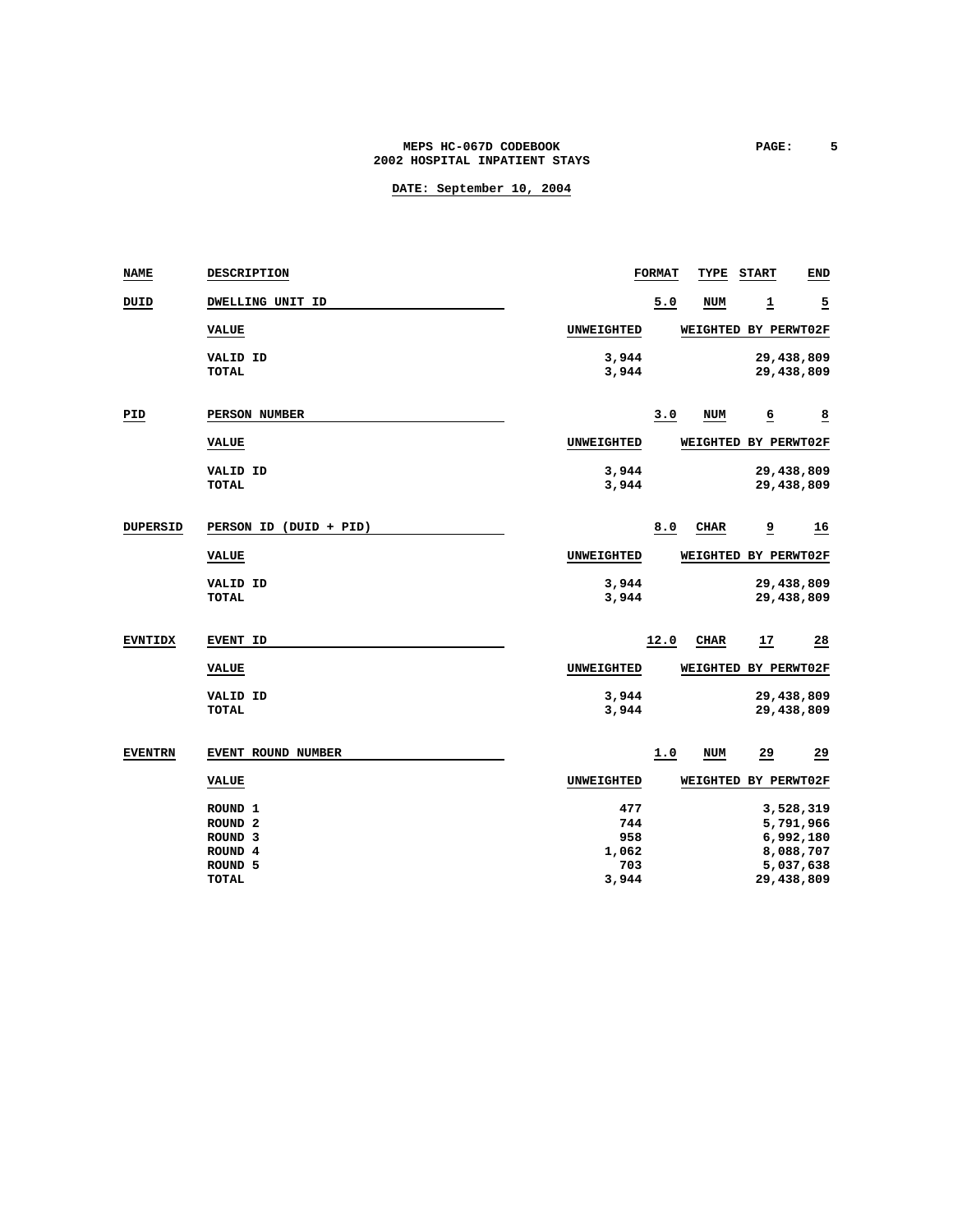### MEPS HC-067D CODEBOOK **PAGE:** 5 **2002 HOSPITAL INPATIENT STAYS**

| <b>NAME</b>     | DESCRIPTION            |                   | <b>FORMAT</b> | TYPE                 | <b>START</b>   | <b>END</b>              |
|-----------------|------------------------|-------------------|---------------|----------------------|----------------|-------------------------|
| סבטם            | DWELLING UNIT ID       |                   | 5.0           | <b>NUM</b>           | 1              | $\overline{2}$          |
|                 | <b>VALUE</b>           | <b>UNWEIGHTED</b> |               | WEIGHTED BY PERWT02F |                |                         |
|                 | VALID ID               | 3,944             |               |                      |                | 29,438,809              |
|                 | <b>TOTAL</b>           | 3,944             |               |                      |                | 29,438,809              |
| PID             | PERSON NUMBER          |                   | 3.0           | <b>NUM</b>           | $\overline{6}$ | $\overline{\mathbf{8}}$ |
|                 | <b>VALUE</b>           | UNWEIGHTED        |               | WEIGHTED BY PERWT02F |                |                         |
|                 | VALID ID               | 3,944             |               |                      |                | 29,438,809              |
|                 | TOTAL                  | 3,944             |               |                      |                | 29,438,809              |
| <b>DUPERSID</b> | PERSON ID (DUID + PID) |                   | 8.0           | <b>CHAR</b>          | <u>و</u>       | <u>16</u>               |
|                 | <b>VALUE</b>           | <b>UNWEIGHTED</b> |               | WEIGHTED BY PERWT02F |                |                         |
|                 | <b>VALID ID</b>        | 3,944             |               |                      |                | 29,438,809              |
|                 | <b>TOTAL</b>           | 3,944             |               |                      |                | 29,438,809              |
| <b>EVNTIDX</b>  | EVENT ID               |                   | 12.0          | <b>CHAR</b>          | 17             | 28                      |
|                 | <b>VALUE</b>           | <b>UNWEIGHTED</b> |               | WEIGHTED BY PERWT02F |                |                         |
|                 | <b>VALID ID</b>        | 3,944             |               |                      |                | 29,438,809              |
|                 | <b>TOTAL</b>           | 3,944             |               |                      |                | 29,438,809              |
| <b>EVENTRN</b>  | EVENT ROUND NUMBER     |                   | 1.0           | <b>NUM</b>           | $^{29}$        | $^{29}$                 |
|                 | <b>VALUE</b>           | <b>UNWEIGHTED</b> |               | WEIGHTED BY PERWT02F |                |                         |
|                 | ROUND <sub>1</sub>     | 477               |               |                      |                | 3,528,319               |
|                 | ROUND <sub>2</sub>     | 744               |               |                      |                | 5,791,966               |
|                 | ROUND <sub>3</sub>     | 958               |               |                      |                | 6,992,180               |
|                 | ROUND <sub>4</sub>     | 1,062             |               |                      |                | 8,088,707               |
|                 | ROUND 5                | 703               |               |                      |                | 5,037,638               |
|                 | <b>TOTAL</b>           | 3,944             |               |                      |                | 29,438,809              |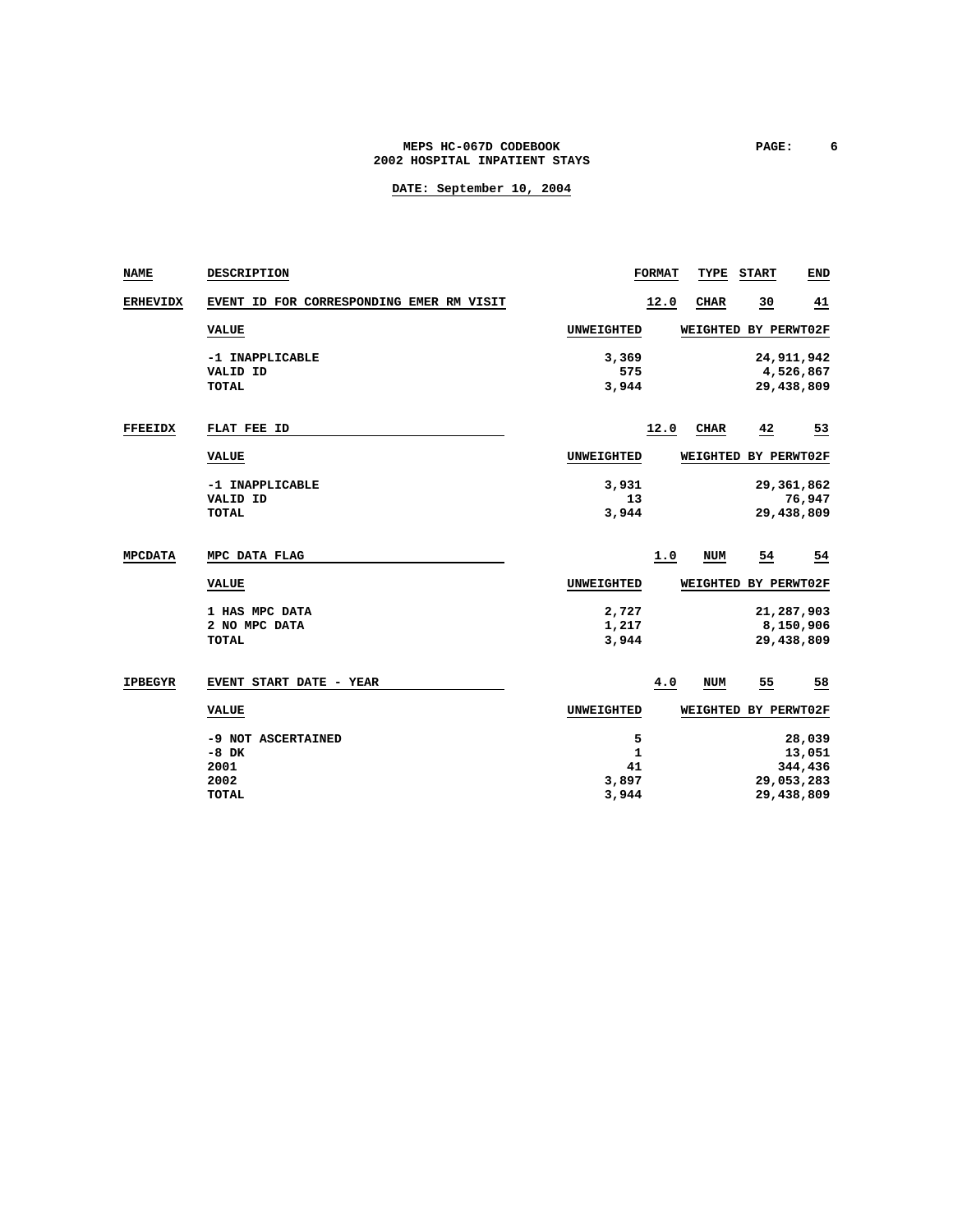### **MEPS HC-067D CODEBOOK PAGE: 6 2002 HOSPITAL INPATIENT STAYS**

| <b>NAME</b>     | DESCRIPTION                                                   |                                           | <b>FORMAT</b> | TYPE                 | <b>START</b> | <b>END</b>                                              |
|-----------------|---------------------------------------------------------------|-------------------------------------------|---------------|----------------------|--------------|---------------------------------------------------------|
| <b>ERHEVIDX</b> | EVENT ID FOR CORRESPONDING EMER RM VISIT                      |                                           | 12.0          | <b>CHAR</b>          | 30           | <u>41</u>                                               |
|                 | <b>VALUE</b>                                                  | UNWEIGHTED                                |               | WEIGHTED BY PERWT02F |              |                                                         |
|                 | -1 INAPPLICABLE<br>VALID ID<br><b>TOTAL</b>                   | 3,369<br>575<br>3,944                     |               |                      |              | 24,911,942<br>4,526,867<br>29,438,809                   |
| <b>FFEEIDX</b>  | FLAT FEE ID                                                   |                                           | 12.0          | <b>CHAR</b>          | 42           | 53                                                      |
|                 | <b>VALUE</b>                                                  | UNWEIGHTED                                |               | WEIGHTED BY PERWT02F |              |                                                         |
|                 | -1 INAPPLICABLE<br>VALID ID<br>TOTAL                          | 3,931<br>13<br>3,944                      |               |                      |              | 29, 361, 862<br>76,947<br>29,438,809                    |
| <b>MPCDATA</b>  | MPC DATA FLAG                                                 |                                           | 1.0           | NUM                  | 54           | 54                                                      |
|                 | <b>VALUE</b>                                                  | UNWEIGHTED                                |               | WEIGHTED BY PERWT02F |              |                                                         |
|                 | 1 HAS MPC DATA<br>2 NO MPC DATA<br><b>TOTAL</b>               | 2,727<br>1,217<br>3,944                   |               |                      |              | 21,287,903<br>8,150,906<br>29,438,809                   |
| <b>IPBEGYR</b>  | EVENT START DATE - YEAR                                       |                                           | 4.0           | NUM                  | 55           | 58                                                      |
|                 | <b>VALUE</b>                                                  | UNWEIGHTED                                |               | WEIGHTED BY PERWT02F |              |                                                         |
|                 | -9 NOT ASCERTAINED<br>$-8$ DK<br>2001<br>2002<br><b>TOTAL</b> | 5<br>$\mathbf{1}$<br>41<br>3,897<br>3,944 |               |                      |              | 28,039<br>13,051<br>344,436<br>29,053,283<br>29,438,809 |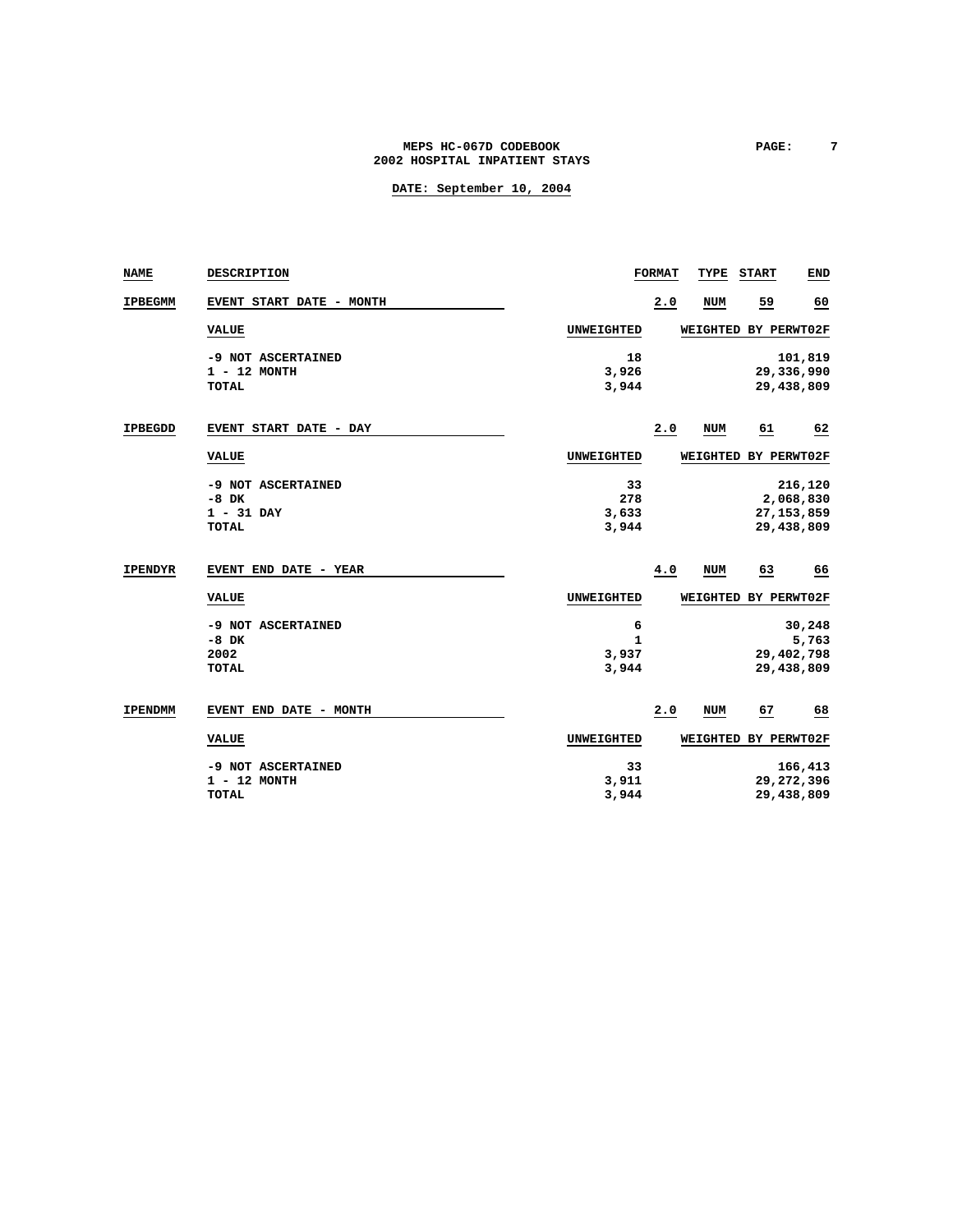### MEPS HC-067D CODEBOOK **PAGE:** 7 **2002 HOSPITAL INPATIENT STAYS**

| <b>NAME</b>    | DESCRIPTION                                                   |                             | <b>FORMAT</b> | TYPE                 | <b>START</b> | END                                                |
|----------------|---------------------------------------------------------------|-----------------------------|---------------|----------------------|--------------|----------------------------------------------------|
| <b>IPBEGMM</b> | EVENT START DATE - MONTH                                      |                             | 2.0           | <b>NUM</b>           | 59           | 60                                                 |
|                | <b>VALUE</b>                                                  | UNWEIGHTED                  |               | WEIGHTED BY PERWT02F |              |                                                    |
|                | -9 NOT ASCERTAINED<br>$1 - 12$ MONTH<br><b>TOTAL</b>          | 18<br>3,926<br>3,944        |               |                      |              | 101,819<br>29,336,990<br>29,438,809                |
| <b>IPBEGDD</b> | EVENT START DATE - DAY                                        |                             | 2.0           | <b>NUM</b>           | 61           | 62                                                 |
|                | <b>VALUE</b>                                                  | UNWEIGHTED                  |               | WEIGHTED             |              | BY PERWT02F                                        |
|                | -9 NOT ASCERTAINED<br>$-8$ DK<br>$1 - 31$ DAY<br><b>TOTAL</b> | 33<br>278<br>3,633<br>3,944 |               |                      |              | 216,120<br>2,068,830<br>27, 153, 859<br>29,438,809 |
| <b>IPENDYR</b> | EVENT END DATE - YEAR                                         |                             | 4.0           | <b>NUM</b>           | 63           | 66                                                 |
|                | <b>VALUE</b>                                                  | UNWEIGHTED                  |               | WEIGHTED BY PERWT02F |              |                                                    |
|                | -9 NOT ASCERTAINED<br>$-8$ DK<br>2002<br><b>TOTAL</b>         | 6<br>1<br>3,937<br>3,944    |               |                      |              | 30,248<br>5,763<br>29,402,798<br>29,438,809        |
| <b>IPENDMM</b> | EVENT END DATE - MONTH                                        |                             | 2.0           | <b>NUM</b>           | 67           | 68                                                 |
|                | <b>VALUE</b>                                                  | UNWEIGHTED                  |               | WEIGHTED             |              | BY PERWT02F                                        |
|                | -9 NOT ASCERTAINED<br>$1 - 12$ MONTH<br><b>TOTAL</b>          | 33<br>3,911<br>3,944        |               |                      |              | 166,413<br>29, 272, 396<br>29,438,809              |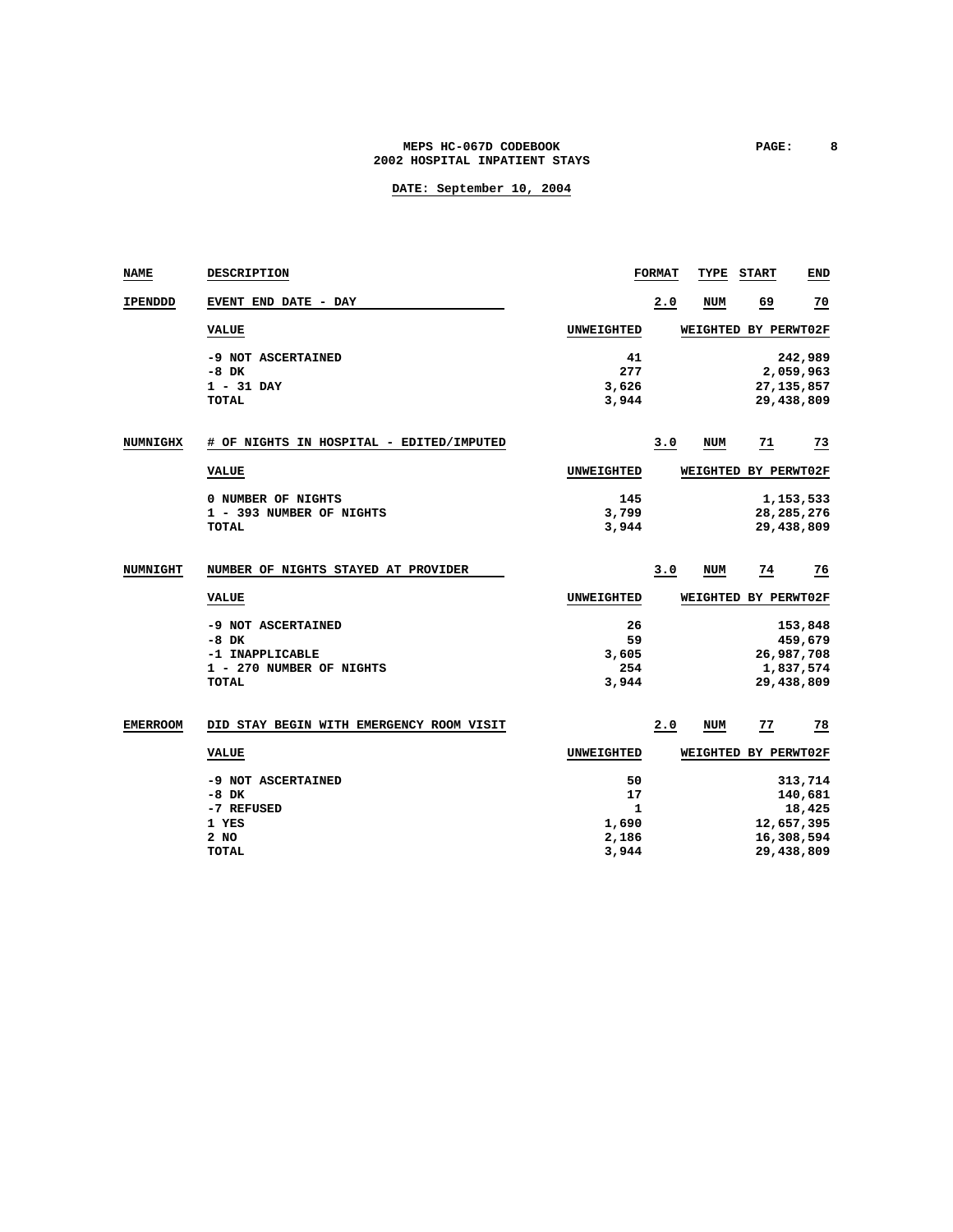### **MEPS HC-067D CODEBOOK PAGE: 8 2002 HOSPITAL INPATIENT STAYS**

| <b>NAME</b>     | <b>DESCRIPTION</b>                       |                   | <b>FORMAT</b> | TYPE | <b>START</b>         | END          |
|-----------------|------------------------------------------|-------------------|---------------|------|----------------------|--------------|
| <b>IPENDDD</b>  | EVENT END DATE - DAY                     |                   | 2.0           | NUM  | 69                   | 70           |
|                 | <b>VALUE</b>                             | <b>UNWEIGHTED</b> |               |      | WEIGHTED BY PERWT02F |              |
|                 | -9 NOT ASCERTAINED                       | 41                |               |      |                      | 242,989      |
|                 | $-8$ DK                                  | 277               |               |      |                      | 2,059,963    |
|                 | $1 - 31$ DAY                             | 3,626             |               |      |                      | 27, 135, 857 |
|                 | <b>TOTAL</b>                             | 3,944             |               |      |                      | 29,438,809   |
| <b>NUMNIGHX</b> | # OF NIGHTS IN HOSPITAL - EDITED/IMPUTED |                   | 3.0           | NUM  | <u>71</u>            | <u>73</u>    |
|                 | <b>VALUE</b>                             | UNWEIGHTED        |               |      | WEIGHTED BY PERWT02F |              |
|                 | 0 NUMBER OF NIGHTS                       | 145               |               |      |                      | 1,153,533    |
|                 | 1 - 393 NUMBER OF NIGHTS                 | 3,799             |               |      |                      | 28, 285, 276 |
|                 | <b>TOTAL</b>                             | 3,944             |               |      |                      | 29,438,809   |
|                 |                                          |                   |               |      |                      |              |
| <b>NUMNIGHT</b> | NUMBER OF NIGHTS STAYED AT PROVIDER      |                   | 3.0           | NUM  | 74                   | 76           |
|                 | <b>VALUE</b>                             | UNWEIGHTED        |               |      | WEIGHTED BY PERWT02F |              |
|                 | -9 NOT ASCERTAINED                       | 26                |               |      |                      | 153,848      |
|                 | $-8$ DK                                  | 59                |               |      |                      | 459,679      |
|                 | -1 INAPPLICABLE                          | 3,605             |               |      |                      | 26,987,708   |
|                 | 1 - 270 NUMBER OF NIGHTS                 | 254               |               |      |                      | 1,837,574    |
|                 | <b>TOTAL</b>                             | 3,944             |               |      |                      | 29,438,809   |
| <b>EMERROOM</b> | DID STAY BEGIN WITH EMERGENCY ROOM VISIT |                   | 2.0           | NUM  | 77                   | 78           |
|                 | <b>VALUE</b>                             | <b>UNWEIGHTED</b> |               |      | WEIGHTED BY PERWT02F |              |
|                 | -9 NOT ASCERTAINED                       | 50                |               |      |                      | 313,714      |
|                 | $-8$ DK                                  | 17                |               |      |                      | 140,681      |
|                 | -7 REFUSED                               | 1                 |               |      |                      | 18,425       |
|                 | 1 YES                                    | 1,690             |               |      |                      | 12,657,395   |
|                 | 2 NO                                     | 2,186             |               |      |                      | 16,308,594   |
|                 | <b>TOTAL</b>                             | 3,944             |               |      |                      | 29,438,809   |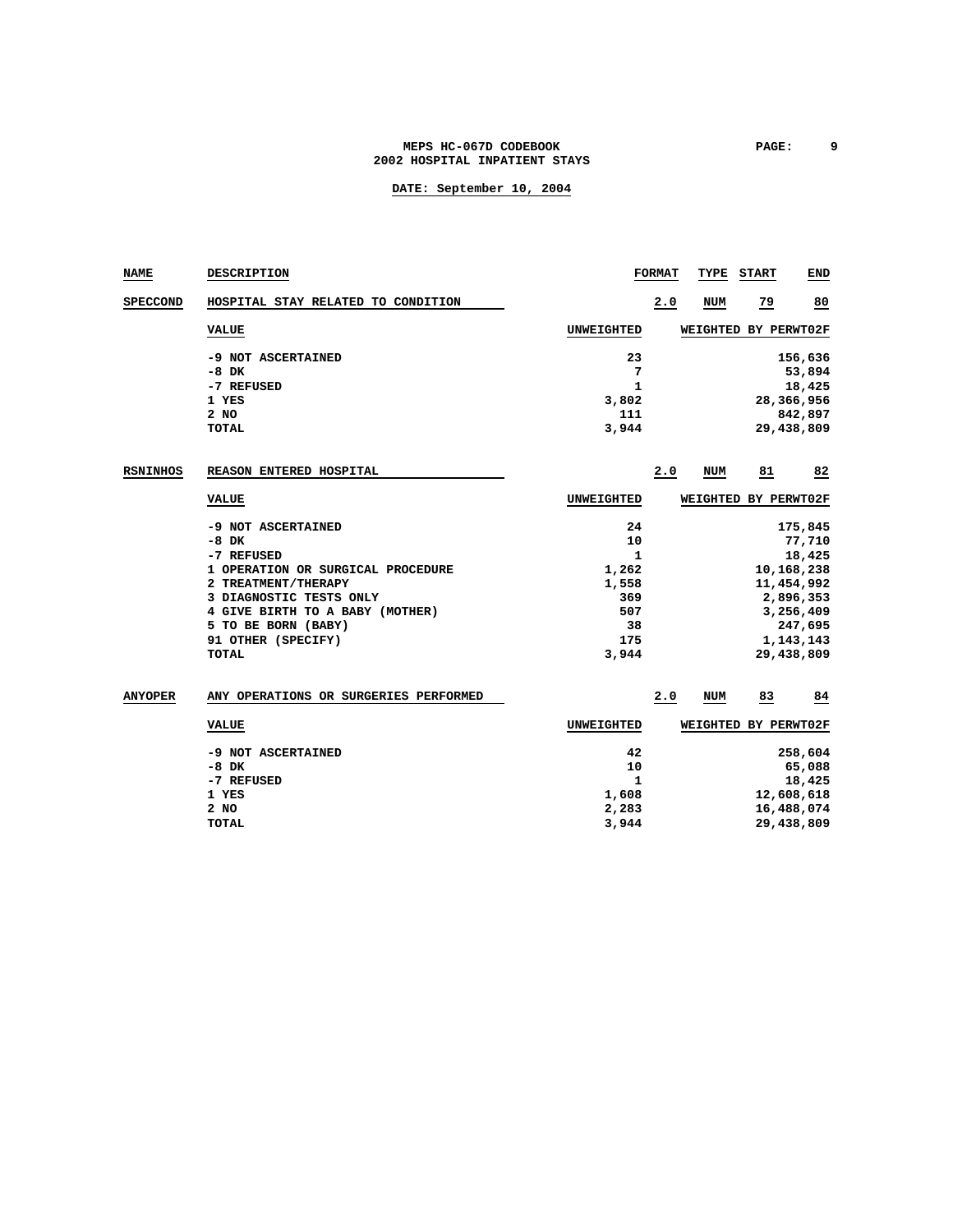### **MEPS HC-067D CODEBOOK PAGE: 9 2002 HOSPITAL INPATIENT STAYS**

| NAME            | DESCRIPTION                           |                   | <b>FORMAT</b> | TYPE       | <b>START</b>         | END        |
|-----------------|---------------------------------------|-------------------|---------------|------------|----------------------|------------|
| <b>SPECCOND</b> | HOSPITAL STAY RELATED TO CONDITION    |                   | 2.0           | <b>NUM</b> | 79                   | 80         |
|                 | <b>VALUE</b>                          | <b>UNWEIGHTED</b> |               |            | WEIGHTED BY PERWT02F |            |
|                 | -9 NOT ASCERTAINED                    | 23                |               |            |                      | 156,636    |
|                 | $-8$ DK                               | 7                 |               |            |                      | 53,894     |
|                 | -7 REFUSED                            | $\mathbf{1}$      |               |            |                      | 18,425     |
|                 | 1 YES                                 | 3,802             |               |            |                      | 28,366,956 |
|                 | 2 NO                                  | 111               |               |            |                      | 842,897    |
|                 | <b>TOTAL</b>                          | 3,944             |               |            |                      | 29,438,809 |
| <b>RSNINHOS</b> | REASON ENTERED HOSPITAL               |                   | 2.0           | NUM        | 81                   | 82         |
|                 | <b>VALUE</b>                          | UNWEIGHTED        |               |            | WEIGHTED BY PERWT02F |            |
|                 | -9 NOT ASCERTAINED                    | 24                |               |            |                      | 175,845    |
|                 | $-8$ DK                               | 10                |               |            |                      | 77,710     |
|                 | -7 REFUSED                            | 1                 |               |            |                      | 18,425     |
|                 | 1 OPERATION OR SURGICAL PROCEDURE     | 1,262             |               |            |                      | 10,168,238 |
|                 | 2 TREATMENT/THERAPY                   | 1,558             |               |            |                      | 11,454,992 |
|                 | 3 DIAGNOSTIC TESTS ONLY               | 369               |               |            |                      | 2,896,353  |
|                 | 4 GIVE BIRTH TO A BABY (MOTHER)       | 507               |               |            |                      | 3,256,409  |
|                 | 5 TO BE BORN (BABY)                   | 38                |               |            |                      | 247,695    |
|                 | 91 OTHER (SPECIFY)                    | 175               |               |            |                      | 1,143,143  |
|                 | <b>TOTAL</b>                          | 3,944             |               |            |                      | 29,438,809 |
| <b>ANYOPER</b>  | ANY OPERATIONS OR SURGERIES PERFORMED |                   | 2.0           | NUM        | 83                   | 84         |
|                 | <b>VALUE</b>                          | <b>UNWEIGHTED</b> |               |            | WEIGHTED BY PERWT02F |            |
|                 | -9 NOT ASCERTAINED                    | 42                |               |            |                      | 258,604    |
|                 | $-8$ DK                               | 10                |               |            |                      | 65,088     |
|                 | -7 REFUSED                            | 1                 |               |            |                      | 18,425     |
|                 | 1 YES                                 | 1,608             |               |            |                      | 12,608,618 |
|                 | 2 NO                                  | 2,283             |               |            |                      | 16,488,074 |
|                 | <b>TOTAL</b>                          | 3,944             |               |            |                      | 29,438,809 |
|                 |                                       |                   |               |            |                      |            |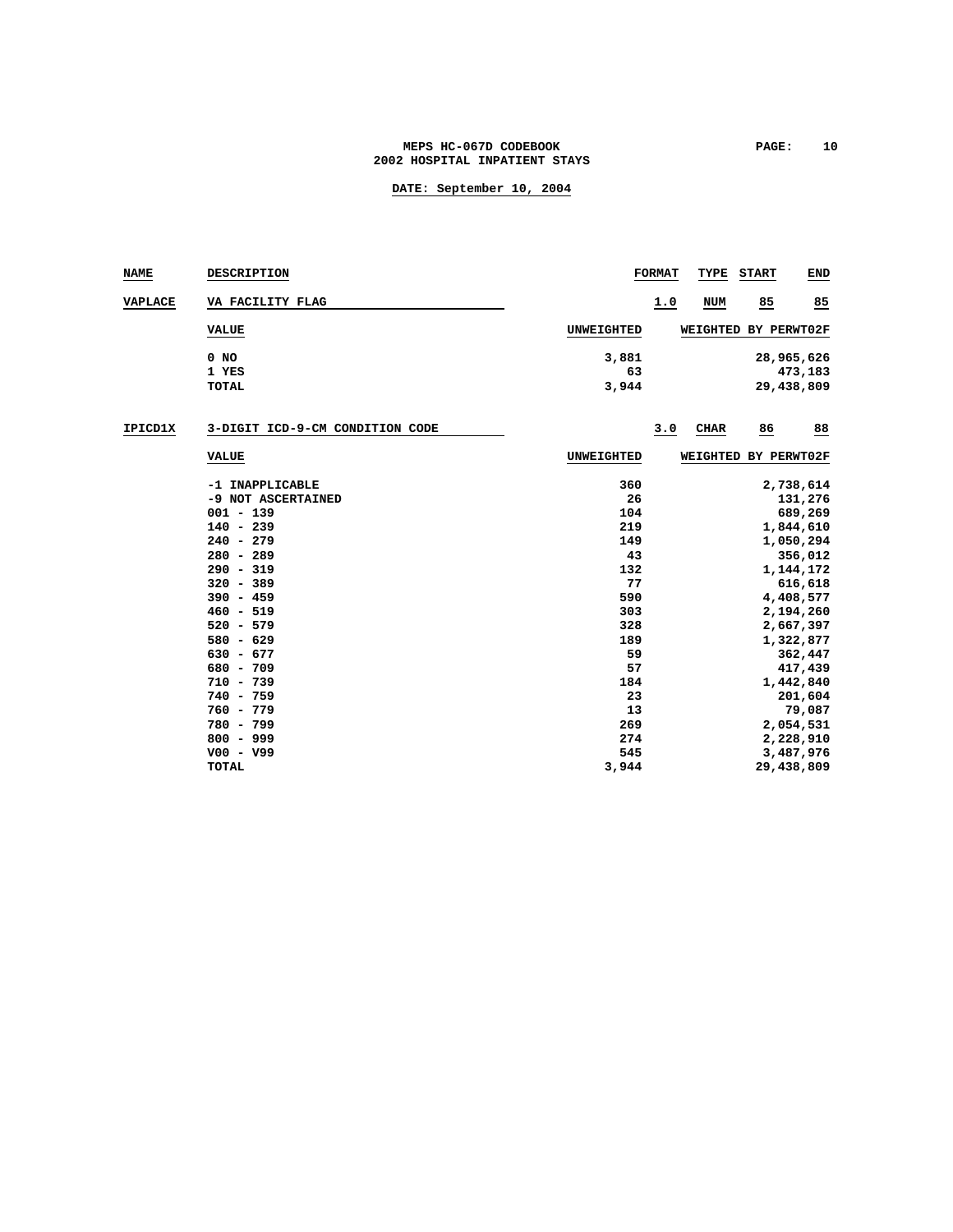#### MEPS HC-067D CODEBOOK **PAGE:** 10 **2002 HOSPITAL INPATIENT STAYS**

| <b>NAME</b>    | DESCRIPTION                     |             | <b>FORMAT</b> | TYPE        | <b>START</b>         | <b>END</b>            |
|----------------|---------------------------------|-------------|---------------|-------------|----------------------|-----------------------|
| <b>VAPLACE</b> | VA FACILITY FLAG                |             | 1.0           | <b>NUM</b>  | 85                   | 85                    |
|                | <b>VALUE</b>                    | UNWEIGHTED  |               |             | WEIGHTED BY PERWT02F |                       |
|                | $0$ NO<br>1 YES                 | 3,881<br>63 |               |             |                      | 28,965,626<br>473,183 |
|                | <b>TOTAL</b>                    | 3,944       |               |             |                      | 29,438,809            |
| IPICD1X        | 3-DIGIT ICD-9-CM CONDITION CODE |             | 3.0           | <b>CHAR</b> | 86                   | 88                    |
|                | <b>VALUE</b>                    | UNWEIGHTED  |               | WEIGHTED    | BY PERWT02F          |                       |
|                | -1 INAPPLICABLE                 | 360         |               |             |                      | 2,738,614             |
|                | -9 NOT ASCERTAINED              | 26          |               |             |                      | 131,276               |
|                | $001 - 139$                     | 104         |               |             |                      | 689,269               |
|                | $140 - 239$                     | 219         |               |             |                      | 1,844,610             |
|                | $240 - 279$                     | 149         |               |             |                      | 1,050,294             |
|                | $280 - 289$                     | 43          |               |             |                      | 356,012               |
|                | $290 - 319$                     | 132         |               |             |                      | 1,144,172             |
|                | $320 - 389$                     | 77          |               |             |                      | 616,618               |
|                | $390 - 459$                     | 590         |               |             |                      | 4,408,577             |
|                | $460 - 519$                     | 303         |               |             |                      | 2,194,260             |
|                | $520 - 579$                     | 328         |               |             |                      | 2,667,397             |
|                | $580 - 629$                     | 189         |               |             |                      | 1,322,877             |
|                | $630 - 677$                     | 59          |               |             |                      | 362,447               |
|                | $680 - 709$                     | 57          |               |             |                      | 417,439               |
|                | $710 - 739$                     | 184         |               |             |                      | 1,442,840             |
|                | $740 - 759$                     | 23          |               |             |                      | 201,604               |
|                | $760 - 779$                     | 13          |               |             |                      | 79,087                |
|                | 780 - 799                       | 269         |               |             |                      | 2,054,531             |
|                | $800 - 999$                     | 274         |               |             |                      | 2,228,910             |
|                | $V00 - V99$                     | 545         |               |             |                      | 3,487,976             |
|                | <b>TOTAL</b>                    | 3,944       |               |             |                      | 29,438,809            |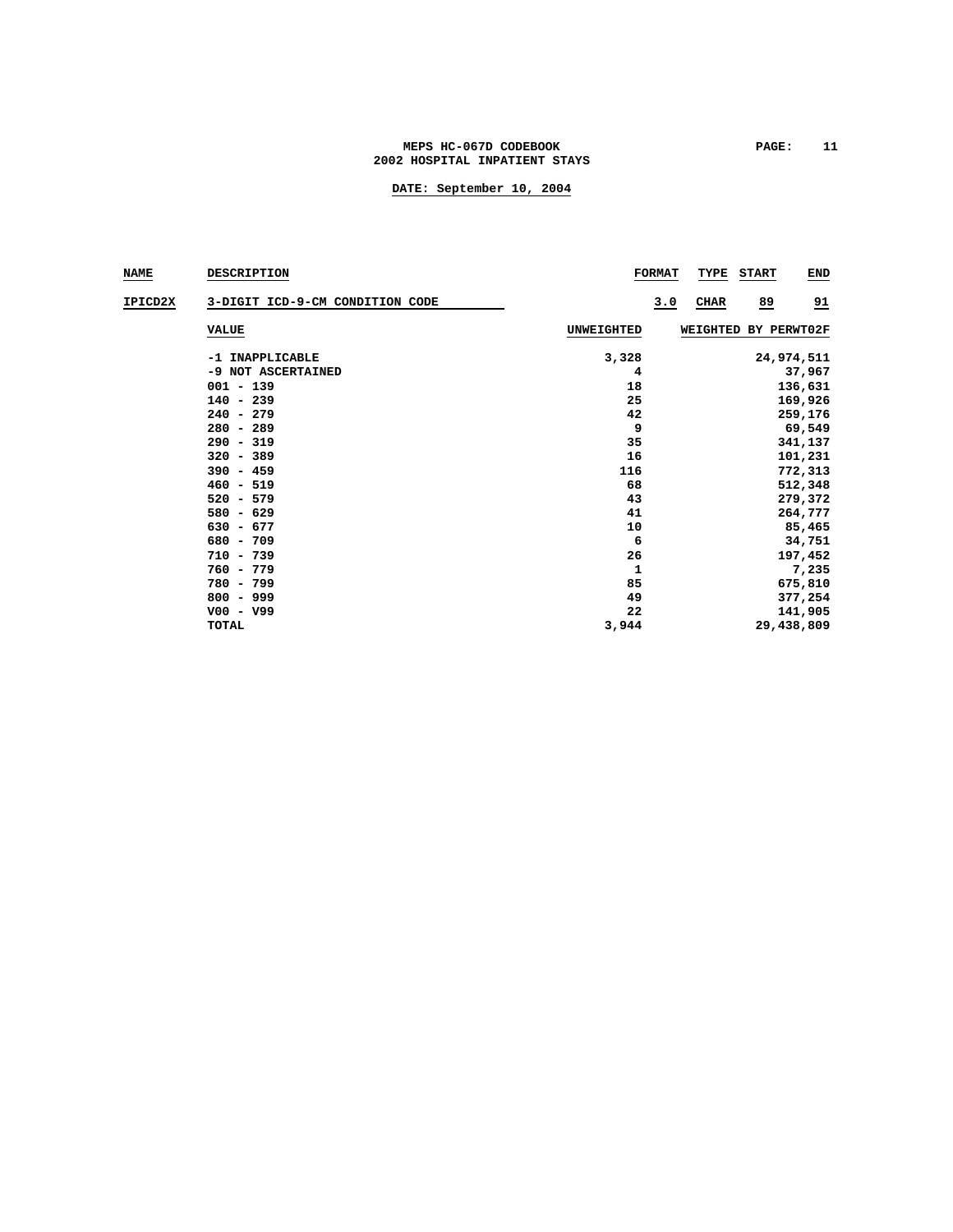### **MEPS HC-067D CODEBOOK PAGE: 11 2002 HOSPITAL INPATIENT STAYS**

| <b>NAME</b> | <b>DESCRIPTION</b>              |            | <b>FORMAT</b> | TYPE        | <b>START</b>         | <b>END</b>      |
|-------------|---------------------------------|------------|---------------|-------------|----------------------|-----------------|
| IPICD2X     | 3-DIGIT ICD-9-CM CONDITION CODE |            | 3.0           | <b>CHAR</b> | 89                   | $\overline{21}$ |
|             | <b>VALUE</b>                    | UNWEIGHTED |               |             | WEIGHTED BY PERWT02F |                 |
|             | -1 INAPPLICABLE                 | 3,328      |               |             |                      | 24,974,511      |
|             | -9 NOT ASCERTAINED              | 4          |               |             |                      | 37,967          |
|             | $001 - 139$                     | 18         |               |             |                      | 136,631         |
|             | $140 - 239$                     | 25         |               |             |                      | 169,926         |
|             | $240 - 279$                     | 42         |               |             |                      | 259,176         |
|             | $280 - 289$                     | 9          |               |             |                      | 69,549          |
|             | $290 - 319$                     | 35         |               |             |                      | 341,137         |
|             | $320 - 389$                     | 16         |               |             |                      | 101,231         |
|             | $390 - 459$                     | 116        |               |             |                      | 772,313         |
|             | $460 - 519$                     | 68         |               |             |                      | 512,348         |
|             | $520 - 579$                     | 43         |               |             |                      | 279,372         |
|             | $580 - 629$                     | 41         |               |             |                      | 264,777         |
|             | $630 - 677$                     | 10         |               |             |                      | 85,465          |
|             | $680 - 709$                     | 6          |               |             |                      | 34,751          |
|             | $710 - 739$                     | 26         |               |             |                      | 197,452         |
|             | $760 - 779$                     | 1          |               |             |                      | 7,235           |
|             | 780 - 799                       | 85         |               |             |                      | 675,810         |
|             | $800 - 999$                     | 49         |               |             |                      | 377,254         |
|             | $V00 - V99$                     | 22         |               |             |                      | 141,905         |
|             | <b>TOTAL</b>                    | 3,944      |               |             |                      | 29,438,809      |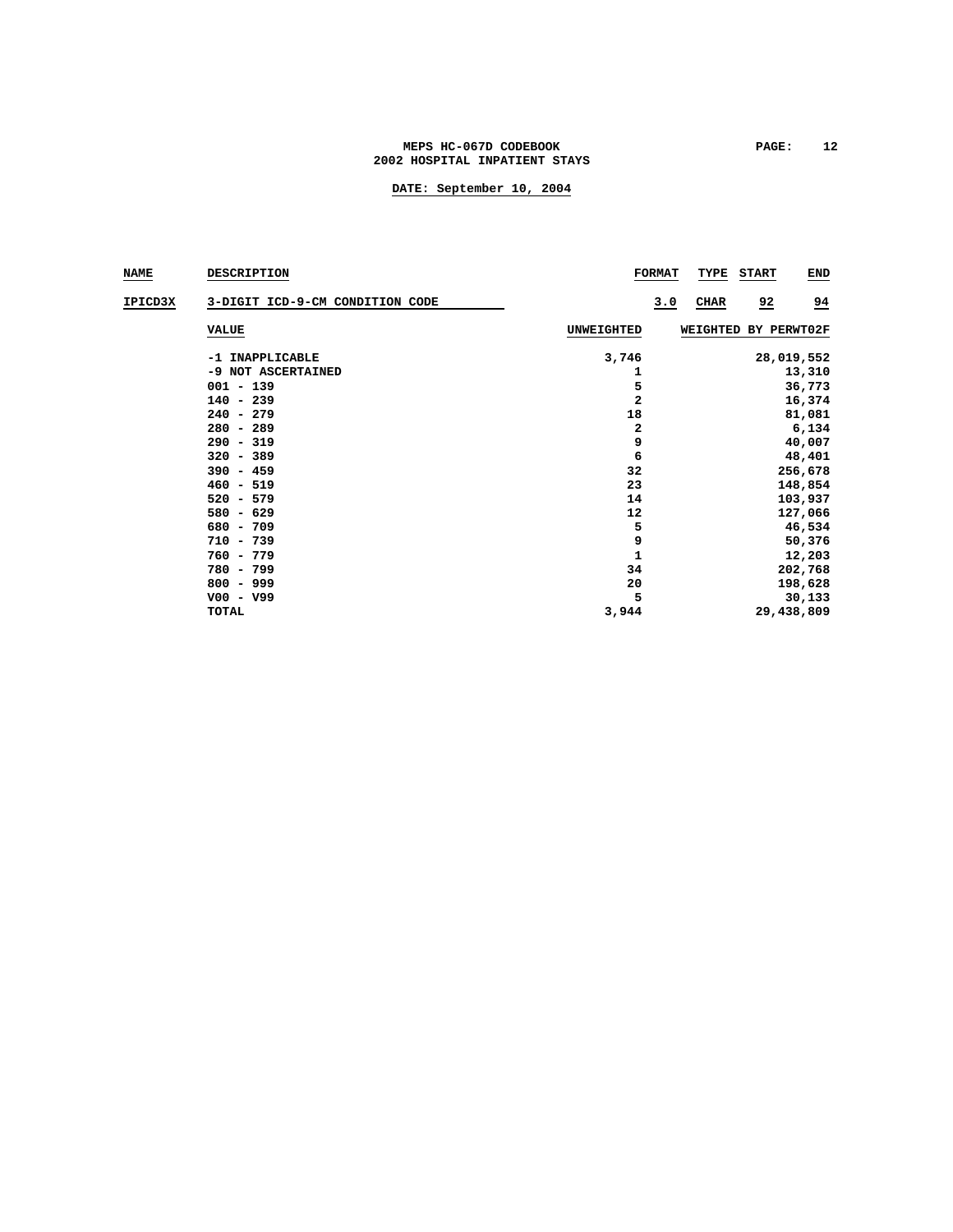### MEPS HC-067D CODEBOOK PAGE: 12 **2002 HOSPITAL INPATIENT STAYS**

| <b>NAME</b> | <b>DESCRIPTION</b>              |                         | <b>FORMAT</b> | <b>TYPE</b>          | <b>START</b>   | <b>END</b> |
|-------------|---------------------------------|-------------------------|---------------|----------------------|----------------|------------|
| IPICD3X     | 3-DIGIT ICD-9-CM CONDITION CODE |                         | 3.0           | <b>CIIAR</b>         | $\overline{2}$ | 94         |
|             | <b>VALUE</b>                    | <b>UNWEIGHTED</b>       |               | WEIGHTED BY PERWT02F |                |            |
|             | -1 INAPPLICABLE                 | 3,746                   |               |                      |                | 28,019,552 |
|             | -9 NOT ASCERTAINED              | 1                       |               |                      |                | 13,310     |
|             | $001 - 139$                     | 5                       |               |                      |                | 36,773     |
|             | $140 - 239$                     | $\overline{\mathbf{2}}$ |               |                      |                | 16,374     |
|             | $240 - 279$                     | 18                      |               |                      |                | 81,081     |
|             | $280 - 289$                     | 2                       |               |                      |                | 6,134      |
|             | $290 - 319$                     | 9                       |               |                      |                | 40,007     |
|             | $320 - 389$                     | 6                       |               |                      |                | 48,401     |
|             | $390 - 459$                     | 32                      |               |                      |                | 256,678    |
|             | $460 - 519$                     | 23                      |               |                      |                | 148,854    |
|             | $520 - 579$                     | 14                      |               |                      |                | 103,937    |
|             | $580 - 629$                     | 12                      |               |                      |                | 127,066    |
|             | $680 - 709$                     | 5                       |               |                      |                | 46,534     |
|             | $710 - 739$                     | 9                       |               |                      |                | 50,376     |
|             | $760 - 779$                     | $\mathbf{1}$            |               |                      |                | 12,203     |
|             | $780 - 799$                     | 34                      |               |                      |                | 202,768    |
|             | $800 - 999$                     | 20                      |               |                      |                | 198,628    |
|             | $V00 - V99$                     | 5                       |               |                      |                | 30,133     |
|             | <b>TOTAL</b>                    | 3,944                   |               |                      |                | 29,438,809 |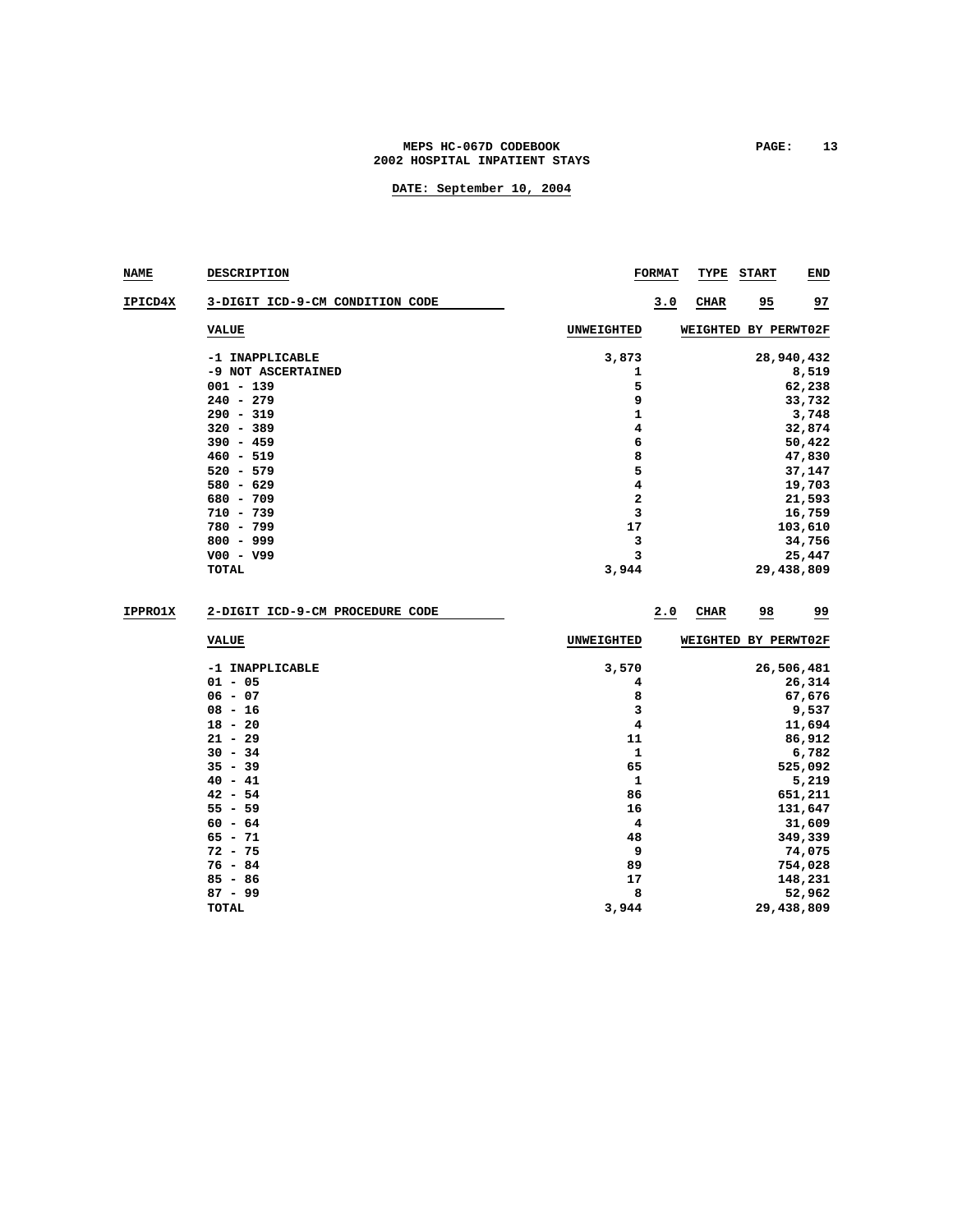### MEPS HC-067D CODEBOOK PAGE: 13 **2002 HOSPITAL INPATIENT STAYS**

| <b>NAME</b>    | <b>DESCRIPTION</b>              |            | <b>FORMAT</b> | TYPE                 | START          | END                  |  |  |  |  |
|----------------|---------------------------------|------------|---------------|----------------------|----------------|----------------------|--|--|--|--|
| IPICD4X        | 3-DIGIT ICD-9-CM CONDITION CODE |            | 3.0           | CHAR                 | $\frac{95}{1}$ | 27                   |  |  |  |  |
|                | <b>VALUE</b>                    | UNWEIGHTED |               | WEIGHTED BY PERWT02F |                |                      |  |  |  |  |
|                | -1 INAPPLICABLE                 | 3,873      |               |                      |                | 28,940,432           |  |  |  |  |
|                | -9 NOT ASCERTAINED              | 1          |               | 8,519                |                |                      |  |  |  |  |
|                | $001 - 139$                     | 5          |               | 62,238               |                |                      |  |  |  |  |
|                | $240 - 279$                     | 9          |               | 33,732               |                |                      |  |  |  |  |
|                | $290 - 319$                     | 1          |               |                      |                | 3,748                |  |  |  |  |
|                | $320 - 389$                     | 4          |               |                      |                | 32,874               |  |  |  |  |
|                | $390 - 459$                     | 6          |               |                      |                | 50,422               |  |  |  |  |
|                | $460 - 519$                     | 8          |               |                      |                | 47,830               |  |  |  |  |
|                | $520 - 579$                     | 5          |               |                      |                | 37,147               |  |  |  |  |
|                | $580 - 629$                     | 4          |               |                      |                | 19,703               |  |  |  |  |
|                | $680 - 709$                     | 2          |               |                      |                | 21,593               |  |  |  |  |
|                | $710 - 739$                     | 3          |               |                      |                | 16,759               |  |  |  |  |
|                | 780 - 799                       | 17         |               |                      |                | 103,610              |  |  |  |  |
|                | $800 - 999$                     | з          |               |                      |                | 34,756               |  |  |  |  |
|                |                                 | 3          |               |                      |                |                      |  |  |  |  |
|                | $V00 - V99$<br>TOTAL            | 3,944      |               |                      |                | 25,447<br>29,438,809 |  |  |  |  |
|                |                                 |            |               |                      |                |                      |  |  |  |  |
| <b>IPPRO1X</b> | 2-DIGIT ICD-9-CM PROCEDURE CODE |            | 2.0           | <b>CHAR</b>          | 98             | <u>وو</u>            |  |  |  |  |
|                | <b>VALUE</b>                    | UNWEIGHTED |               | WEIGHTED BY PERWT02F |                |                      |  |  |  |  |
|                | -1 INAPPLICABLE                 | 3,570      |               |                      |                | 26,506,481           |  |  |  |  |
|                | $01 - 05$                       | 4          |               |                      |                | 26,314               |  |  |  |  |
|                | $06 - 07$                       | 8          |               |                      |                | 67,676               |  |  |  |  |
|                | $08 - 16$                       | 3          |               |                      |                | 9,537                |  |  |  |  |
|                | $18 - 20$                       | 4          |               |                      |                | 11,694               |  |  |  |  |
|                | $21 - 29$                       | 11         |               |                      |                | 86,912               |  |  |  |  |
|                | $30 - 34$                       | 1          |               |                      |                | 6,782                |  |  |  |  |
|                | $35 - 39$                       | 65         |               |                      |                | 525,092              |  |  |  |  |
|                | $40 - 41$                       | 1          |               |                      |                | 5,219                |  |  |  |  |
|                | $42 - 54$                       | 86         |               |                      |                | 651,211              |  |  |  |  |
|                | $55 - 59$                       | 16         |               | 131,647              |                |                      |  |  |  |  |
|                | $60 - 64$                       | 4          |               |                      |                | 31,609               |  |  |  |  |
|                | $65 - 71$                       | 48         |               |                      |                |                      |  |  |  |  |
|                |                                 |            |               |                      |                | 349,339<br>74,075    |  |  |  |  |
|                | $72 - 75$                       | 9          |               |                      |                |                      |  |  |  |  |
|                | $76 - 84$                       | 89         |               |                      |                | 754,028              |  |  |  |  |
|                | $85 - 86$                       | 17         |               |                      |                | 148,231              |  |  |  |  |
|                | $87 - 99$                       | 8          |               |                      |                | 52,962               |  |  |  |  |
|                | <b>TOTAL</b>                    | 3,944      |               |                      |                | 29,438,809           |  |  |  |  |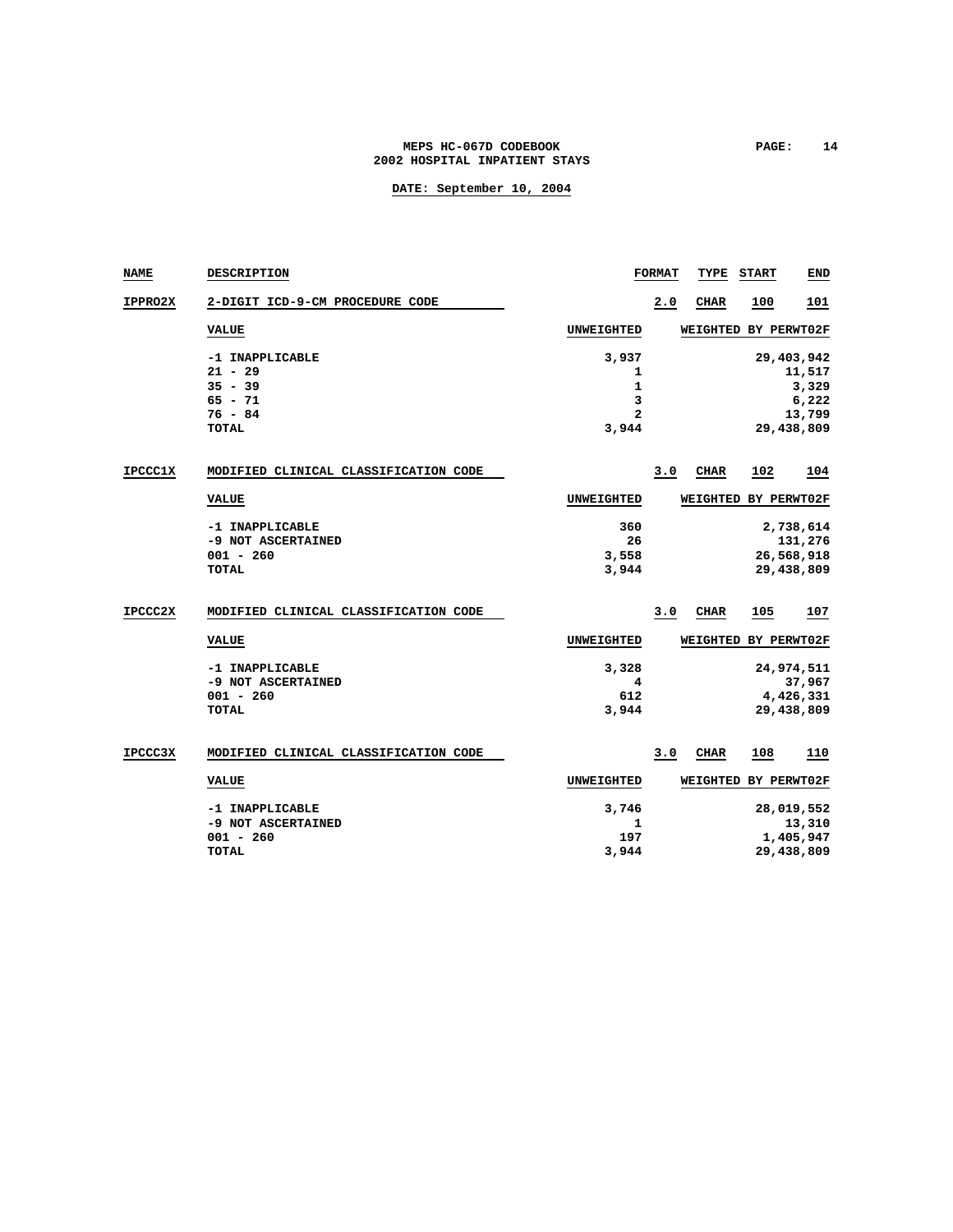### MEPS HC-067D CODEBOOK **PAGE:** 14 **2002 HOSPITAL INPATIENT STAYS**

| <b>NAME</b>    | <b>DESCRIPTION</b>                    |                   | <b>FORMAT</b> | TYPE            | <b>START</b>         | END        |
|----------------|---------------------------------------|-------------------|---------------|-----------------|----------------------|------------|
| <b>IPPRO2X</b> | 2-DIGIT ICD-9-CM PROCEDURE CODE       |                   | 2.0           | <b>CHAR</b>     | 100                  | 101        |
|                | <b>VALUE</b>                          | <b>UNWEIGHTED</b> |               | WEIGHTED        | BY PERWT02F          |            |
|                | -1 INAPPLICABLE                       | 3,937             |               |                 |                      | 29,403,942 |
|                | $21 - 29$                             | 1                 |               |                 |                      | 11,517     |
|                | $35 - 39$                             | 1                 |               |                 |                      | 3,329      |
|                | $65 - 71$                             | 3                 |               |                 |                      | 6,222      |
|                | $76 - 84$                             | $\mathbf{z}$      |               |                 |                      | 13,799     |
|                | <b>TOTAL</b>                          | 3,944             |               |                 |                      | 29,438,809 |
| <b>IPCCC1X</b> | MODIFIED CLINICAL CLASSIFICATION CODE |                   | 3.0           | CHAR            | 102                  | 104        |
|                | <b>VALUE</b>                          | <b>UNWEIGHTED</b> |               | <b>WEIGHTED</b> | BY PERWT02F          |            |
|                | -1 INAPPLICABLE                       | 360               |               |                 |                      | 2,738,614  |
|                | -9 NOT ASCERTAINED                    | 26                |               |                 |                      | 131,276    |
|                | $001 - 260$                           | 3,558             |               |                 |                      | 26,568,918 |
|                | <b>TOTAL</b>                          | 3,944             |               |                 |                      | 29,438,809 |
|                |                                       |                   |               |                 |                      |            |
| IPCCC2X        | MODIFIED CLINICAL CLASSIFICATION CODE |                   | 3.0           | CHAR            | 105                  | 107        |
|                | <b>VALUE</b>                          | <b>UNWEIGHTED</b> |               | WEIGHTED        | BY PERWT02F          |            |
|                | -1 INAPPLICABLE                       | 3,328             |               |                 |                      | 24,974,511 |
|                | -9 NOT ASCERTAINED                    | 4                 |               |                 |                      | 37,967     |
|                | $001 - 260$                           | 612               |               |                 |                      | 4,426,331  |
|                | <b>TOTAL</b>                          | 3,944             |               |                 |                      | 29,438,809 |
|                |                                       |                   |               |                 |                      |            |
| <b>IPCCC3X</b> | MODIFIED CLINICAL CLASSIFICATION CODE |                   | 3.0           | CIIAR           | 108                  | 110        |
|                | <b>VALUE</b>                          | <b>UNWEIGHTED</b> |               |                 | WEIGHTED BY PERWT02F |            |
|                | -1 INAPPLICABLE                       | 3,746             |               |                 |                      | 28,019,552 |
|                | -9 NOT ASCERTAINED                    | 1                 |               |                 |                      | 13,310     |
|                | $001 - 260$                           | 197               |               |                 |                      | 1,405,947  |
|                | TOTAL                                 | 3,944             |               |                 |                      | 29,438,809 |
|                |                                       |                   |               |                 |                      |            |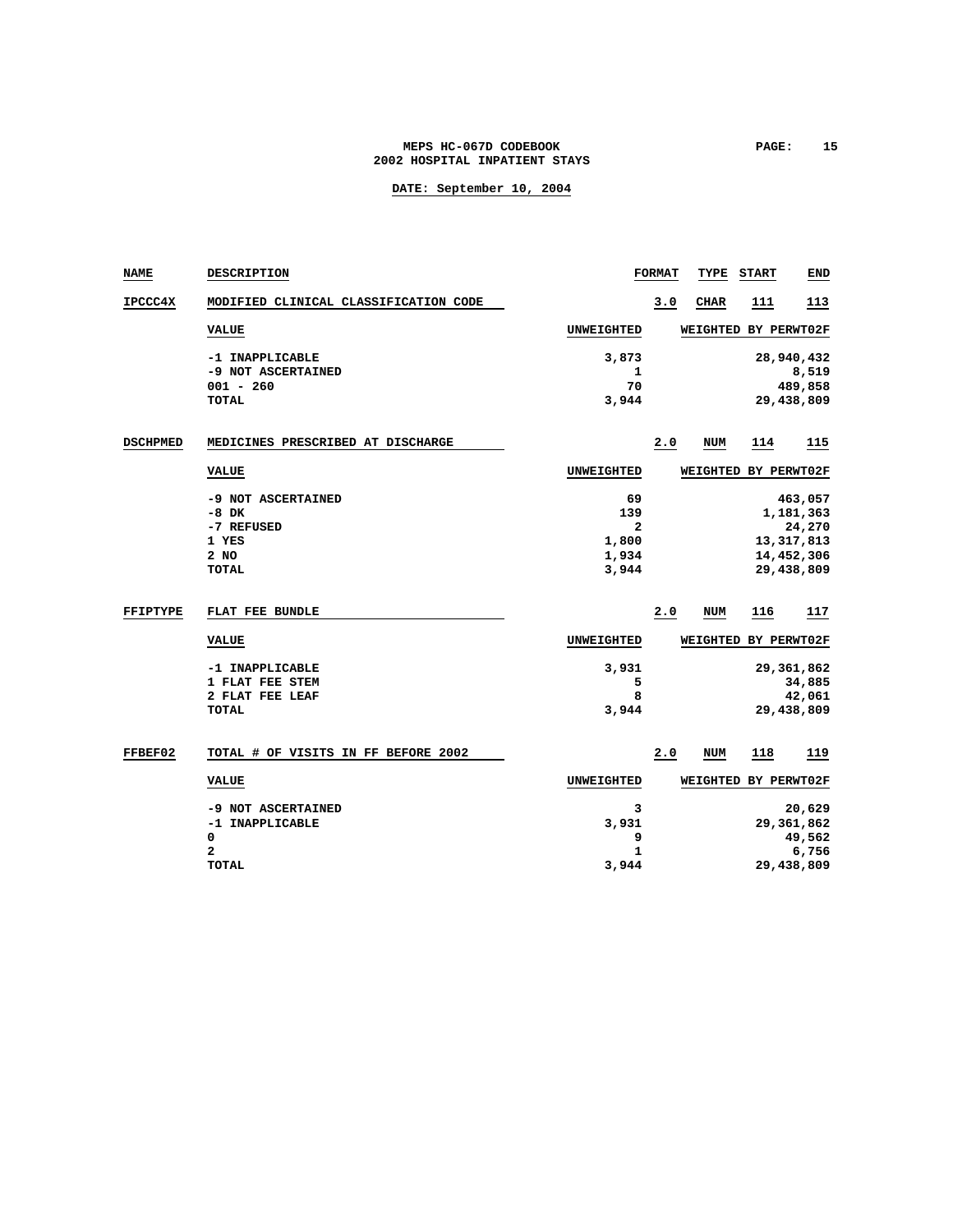### **MEPS HC-067D CODEBOOK PAGE: 15 2002 HOSPITAL INPATIENT STAYS**

| <b>NAME</b>     | DESCRIPTION                           |                   | <b>FORMAT</b> | TYPE                 | <b>START</b> | END                   |
|-----------------|---------------------------------------|-------------------|---------------|----------------------|--------------|-----------------------|
| <b>IPCCC4X</b>  | MODIFIED CLINICAL CLASSIFICATION CODE |                   | 3.0           | CIIAR                | 111          | 113                   |
|                 | <b>VALUE</b>                          | UNWEIGHTED        |               | WEIGHTED BY PERWT02F |              |                       |
|                 | -1 INAPPLICABLE                       | 3,873             |               |                      |              | 28,940,432            |
|                 | -9 NOT ASCERTAINED                    | 1                 |               |                      |              | 8,519                 |
|                 | $001 - 260$<br><b>TOTAL</b>           | 70<br>3,944       |               |                      |              | 489,858<br>29,438,809 |
|                 |                                       |                   |               |                      |              |                       |
| <b>DSCHPMED</b> | MEDICINES PRESCRIBED AT DISCHARGE     |                   | 2.0           | NUM                  | <u> 114</u>  | 115                   |
|                 | <b>VALUE</b>                          | UNWEIGHTED        |               | WEIGHTED BY PERWT02F |              |                       |
|                 | -9 NOT ASCERTAINED                    | 69                |               |                      |              | 463,057               |
|                 | $-8$ DK                               | 139               |               |                      |              | 1,181,363             |
|                 | -7 REFUSED                            | 2                 |               |                      |              | 24,270                |
|                 | 1 YES                                 | 1,800             |               |                      |              | 13, 317, 813          |
|                 | $2$ NO                                | 1,934             |               |                      |              | 14,452,306            |
|                 | <b>TOTAL</b>                          | 3,944             |               |                      |              | 29,438,809            |
| <b>FFIPTYPE</b> | FLAT FEE BUNDLE                       |                   | 2.0           | NUM                  | 116          | 117                   |
|                 | <b>VALUE</b>                          | <b>UNWEIGHTED</b> |               | <b>WEIGHTED</b>      |              | BY PERWT02F           |
|                 | -1 INAPPLICABLE                       | 3,931             |               |                      |              | 29,361,862            |
|                 | 1 FLAT FEE STEM                       | 5                 |               |                      |              | 34,885                |
|                 | 2 FLAT FEE LEAF                       | 8                 |               |                      |              | 42,061                |
|                 | <b>TOTAL</b>                          | 3,944             |               |                      |              | 29,438,809            |
| <b>FFBEF02</b>  | TOTAL # OF VISITS IN FF BEFORE 2002   |                   | 2.0           | NUM                  | 118          | 119                   |
|                 | <b>VALUE</b>                          | <b>UNWEIGHTED</b> |               | WEIGHTED BY PERWT02F |              |                       |
|                 | -9 NOT ASCERTAINED                    | 3                 |               |                      |              | 20,629                |
|                 | -1 INAPPLICABLE                       | 3,931             |               |                      |              | 29, 361, 862          |
|                 | 0                                     | 9                 |               |                      |              | 49,562                |
|                 | $\mathbf{z}$                          | $\mathbf{1}$      |               |                      |              | 6,756                 |
|                 | <b>TOTAL</b>                          | 3,944             |               |                      |              | 29,438,809            |
|                 |                                       |                   |               |                      |              |                       |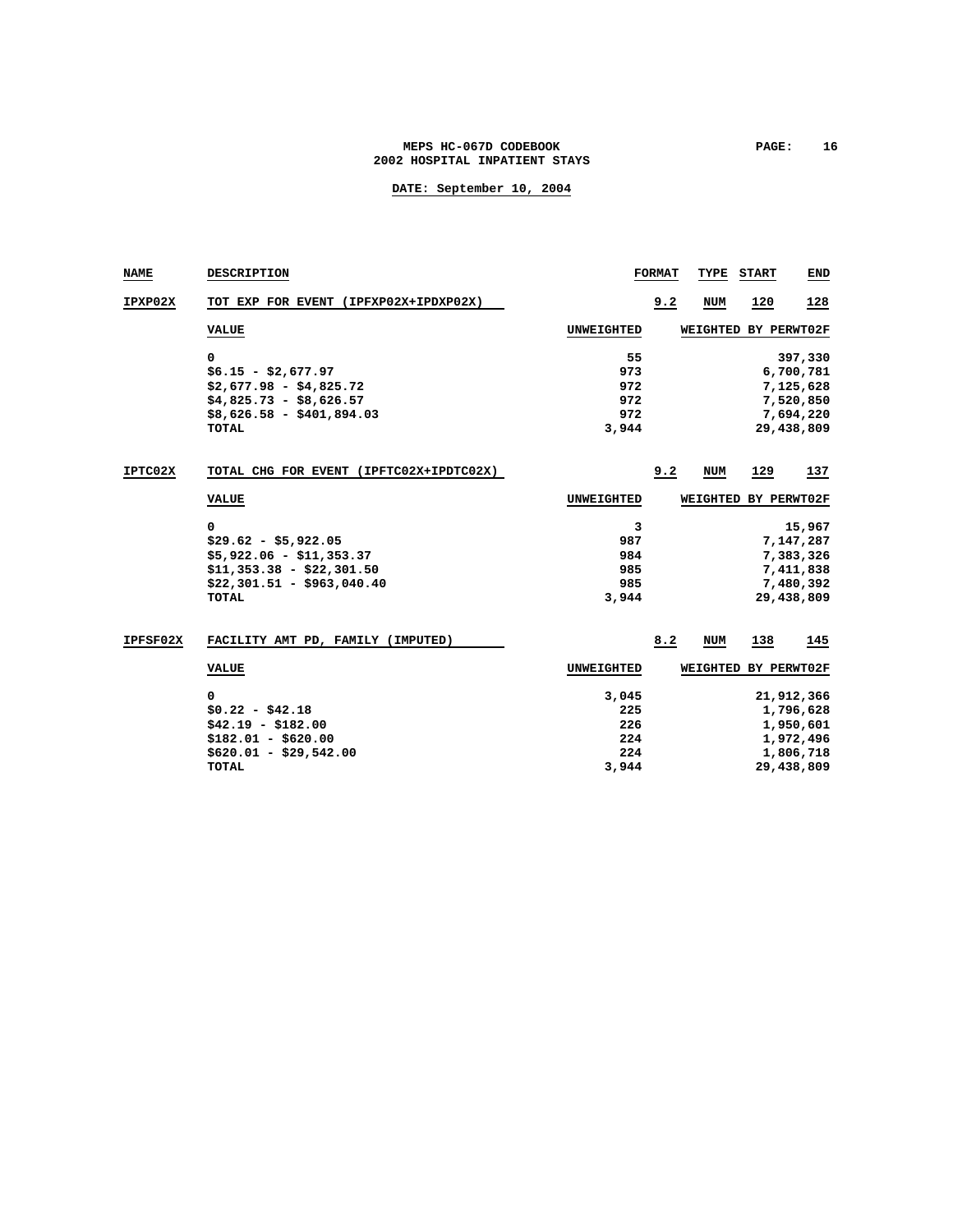### **MEPS HC-067D CODEBOOK PAGE: 16 2002 HOSPITAL INPATIENT STAYS**

| NAME     | <b>DESCRIPTION</b>                                                                                                               |                                            | <b>FORMAT</b> | TYPE                 | <b>START</b> | <b>END</b>                                                                   |
|----------|----------------------------------------------------------------------------------------------------------------------------------|--------------------------------------------|---------------|----------------------|--------------|------------------------------------------------------------------------------|
| IPXP02X  | TOT EXP FOR EVENT (IPFXP02X+IPDXP02X)                                                                                            |                                            | 9.2           | <b>NUM</b>           | 120          | 128                                                                          |
|          | <b>VALUE</b>                                                                                                                     | UNWEIGHTED                                 |               | WEIGHTED BY PERWT02F |              |                                                                              |
|          | 0<br>$$6.15 - $2,677.97$<br>$$2,677.98 - $4,825.72$<br>$$4,825.73 - $8,626.57$<br>$$8,626.58 - $401,894.03$<br><b>TOTAL</b>      | 55<br>973<br>972<br>972<br>972<br>3,944    |               |                      |              | 397,330<br>6,700,781<br>7,125,628<br>7,520,850<br>7,694,220<br>29,438,809    |
| IPTC02X  | TOTAL CHG FOR EVENT (IPFTC02X+IPDTC02X)                                                                                          |                                            | 9.2           | NUM                  | 129          | 137                                                                          |
|          | <b>VALUE</b>                                                                                                                     | UNWEIGHTED                                 |               | WEIGHTED             |              | BY PERWT02F                                                                  |
|          | 0<br>$$29.62 - $5,922.05$<br>$$5,922.06 - $11,353.37$<br>$$11,353.38 - $22,301.50$<br>$$22,301.51 - $963,040.40$<br><b>TOTAL</b> | 3<br>987<br>984<br>985<br>985<br>3,944     |               |                      |              | 15,967<br>7,147,287<br>7,383,326<br>7,411,838<br>7,480,392<br>29,438,809     |
| IPFSF02X | FACILITY AMT PD, FAMILY (IMPUTED)                                                                                                |                                            | 8.2           | NUM                  | 138          | 145                                                                          |
|          | <b>VALUE</b>                                                                                                                     | UNWEIGHTED                                 |               | WEIGHTED BY PERWT02F |              |                                                                              |
|          | 0<br>$$0.22 - $42.18$<br>$$42.19 - $182.00$<br>$$182.01 - $620.00$<br>$$620.01 - $29.542.00$<br><b>TOTAL</b>                     | 3,045<br>225<br>226<br>224<br>224<br>3,944 |               |                      |              | 21,912,366<br>1,796,628<br>1,950,601<br>1,972,496<br>1,806,718<br>29,438,809 |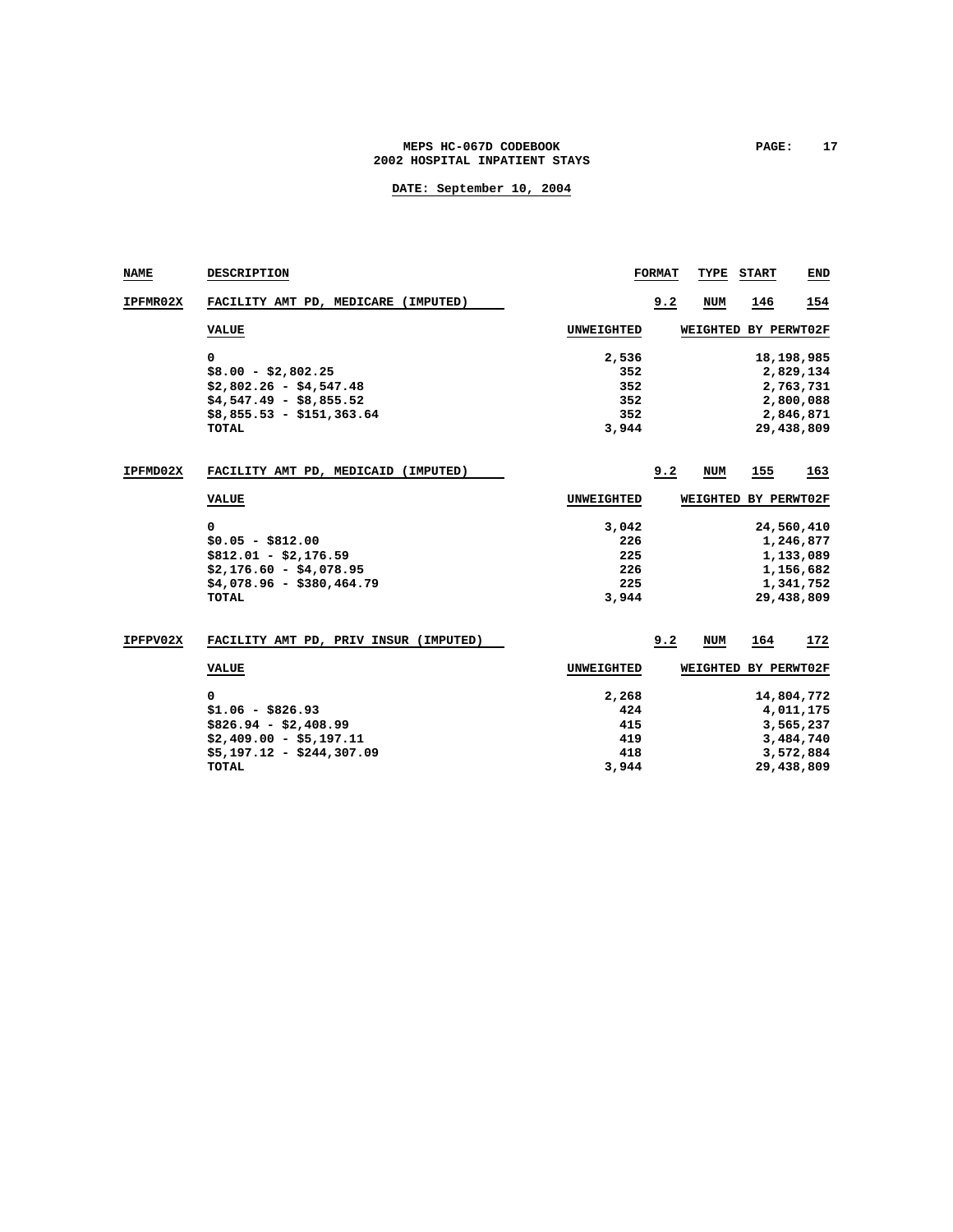### MEPS HC-067D CODEBOOK **PAGE:** 17 **2002 HOSPITAL INPATIENT STAYS**

| NAME     | <b>DESCRIPTION</b>                    |                   | <b>FORMAT</b> | TYPE       | <b>START</b> | END        |
|----------|---------------------------------------|-------------------|---------------|------------|--------------|------------|
| IPFMR02X | FACILITY AMT PD, MEDICARE (IMPUTED)   |                   | 9.2           | <b>NUM</b> | 146          | 154        |
|          | <b>VALUE</b>                          | UNWEIGHTED        |               | WEIGHTED   | BY PERWT02F  |            |
|          | 0                                     | 2,536             |               |            |              | 18,198,985 |
|          | $$8.00 - $2,802.25$                   | 352               |               |            |              | 2,829,134  |
|          | $$2,802.26 - $4,547.48$               | 352               |               |            |              | 2,763,731  |
|          | $$4,547.49 - $8,855.52$               | 352               |               |            |              | 2,800,088  |
|          | $$8,855.53 - $151,363.64$             | 352               |               |            |              | 2,846,871  |
|          | <b>TOTAL</b>                          | 3,944             |               |            |              | 29,438,809 |
| IPFMD02X | FACILITY AMT PD, MEDICAID (IMPUTED)   |                   | 9.2           | <b>NUM</b> | 155          | 163        |
|          | <b>VALUE</b>                          | UNWEIGHTED        |               | WEIGHTED   | BY PERWT02F  |            |
|          | 0                                     | 3,042             |               |            |              | 24,560,410 |
|          | $$0.05 - $812.00$                     | 226               |               |            |              | 1,246,877  |
|          | $$812.01 - $2,176.59$                 | 225               |               |            |              | 1,133,089  |
|          | $$2,176.60 - $4,078.95$               | 226               |               |            |              | 1,156,682  |
|          | $$4,078.96 - $380,464.79$             | 225               |               |            |              | 1,341,752  |
|          | <b>TOTAL</b>                          | 3,944             |               |            |              | 29,438,809 |
| IPFPV02X | FACILITY AMT PD, PRIV INSUR (IMPUTED) |                   | 9.2           | <b>NUM</b> | 164          | 172        |
|          | <b>VALUE</b>                          | <b>UNWEIGHTED</b> |               | WEIGHTED   | BY PERWT02F  |            |
|          | $\Omega$                              | 2,268             |               |            |              | 14,804,772 |
|          | $$1.06 - $826.93$                     | 424               |               |            |              | 4,011,175  |
|          | $$826.94 - $2,408.99$                 | 415               |               |            |              | 3,565,237  |
|          | $$2,409.00 - $5,197.11$               | 419               |               |            |              | 3,484,740  |
|          | $$5,197.12 - $244,307.09$             | 418               |               |            |              | 3,572,884  |
|          | <b>TOTAL</b>                          | 3,944             |               |            |              | 29,438,809 |
|          |                                       |                   |               |            |              |            |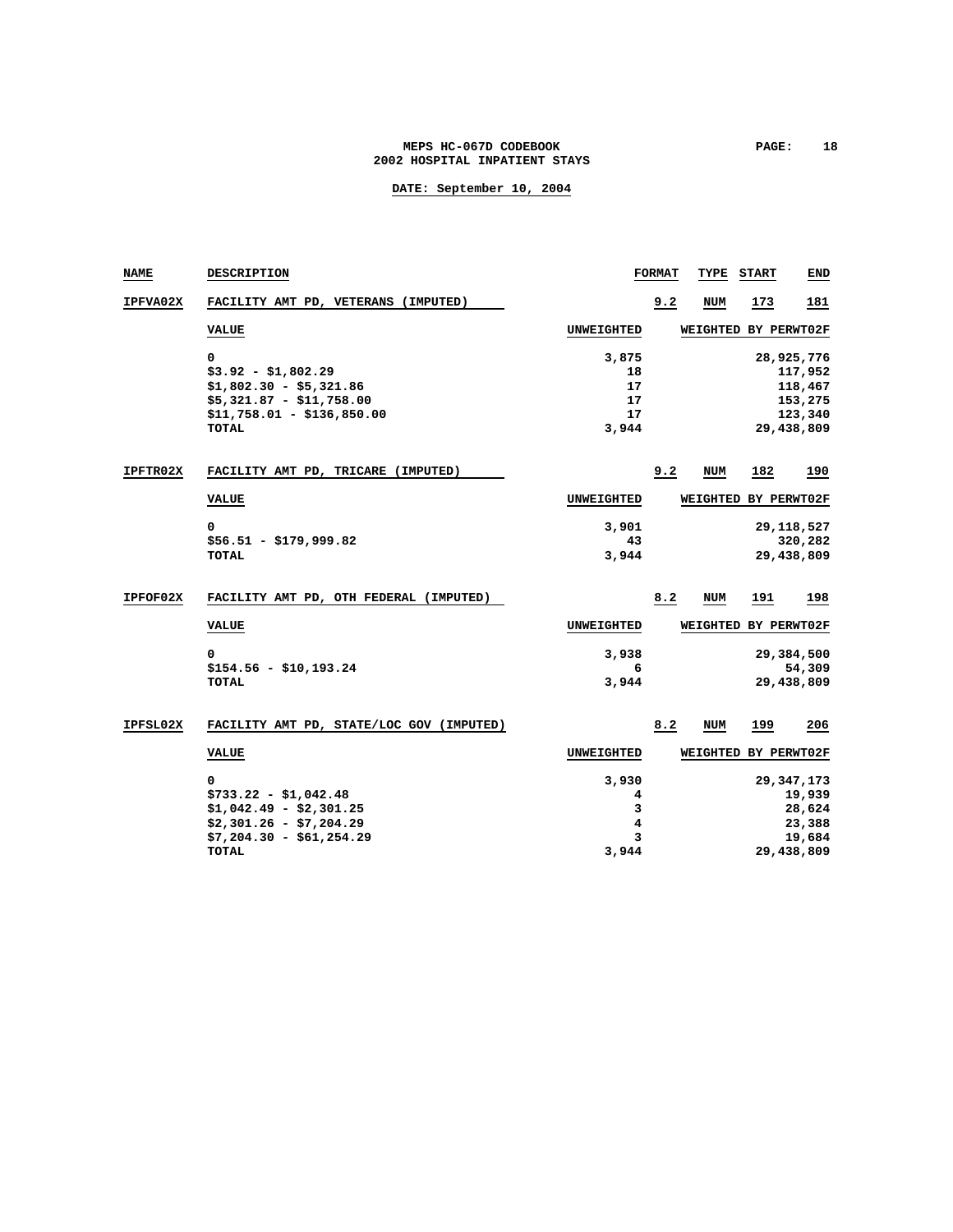### MEPS HC-067D CODEBOOK **PAGE:** 18 **2002 HOSPITAL INPATIENT STAYS**

| <b>NAME</b>     | <b>DESCRIPTION</b>                                                                                                           |                                    | <b>FORMAT</b> | TYPE                 | <b>START</b> | END                                                                |
|-----------------|------------------------------------------------------------------------------------------------------------------------------|------------------------------------|---------------|----------------------|--------------|--------------------------------------------------------------------|
| <b>IPFVA02X</b> | FACILITY AMT PD, VETERANS (IMPUTED)                                                                                          |                                    | 9.2           | <b>NUM</b>           | 173          | 181                                                                |
|                 | <b>VALUE</b>                                                                                                                 | <b>UNWEIGHTED</b>                  |               | WEIGHTED BY PERWT02F |              |                                                                    |
|                 | 0<br>$$3.92 - $1,802.29$<br>$$1,802.30 - $5,321.86$                                                                          | 3,875<br>18<br>17                  |               |                      |              | 28,925,776<br>117,952<br>118,467                                   |
|                 | $$5,321.87 - $11,758.00$<br>$$11,758.01 - $136,850.00$<br><b>TOTAL</b>                                                       | 17<br>17<br>3,944                  |               |                      |              | 153,275<br>123,340<br>29,438,809                                   |
| <b>IPFTR02X</b> | FACILITY AMT PD, TRICARE (IMPUTED)                                                                                           |                                    | 9.2           | <b>NUM</b>           | 182          | 190                                                                |
|                 | <b>VALUE</b>                                                                                                                 | UNWEIGHTED                         |               | <b>WEIGHTED</b>      |              | BY PERWT02F                                                        |
|                 | 0<br>$$56.51 - $179.999.82$<br><b>TOTAL</b>                                                                                  | 3,901<br>43<br>3,944               |               |                      |              | 29, 118, 527<br>320,282<br>29,438,809                              |
| IPFOF02X        | FACILITY AMT PD, OTH FEDERAL (IMPUTED)                                                                                       |                                    | 8.2           | <b>NUM</b>           | 191          | 198                                                                |
|                 | <b>VALUE</b>                                                                                                                 | <b>UNWEIGHTED</b>                  |               | WEIGHTED BY PERWT02F |              |                                                                    |
|                 | 0<br>$$154.56 - $10,193.24$<br><b>TOTAL</b>                                                                                  | 3,938<br>6<br>3,944                |               |                      |              | 29,384,500<br>54,309<br>29,438,809                                 |
| IPFSL02X        | FACILITY AMT PD, STATE/LOC GOV (IMPUTED)                                                                                     |                                    | 8.2           | <b>NUM</b>           | 199          | 206                                                                |
|                 | <b>VALUE</b>                                                                                                                 | <b>UNWEIGHTED</b>                  |               | WEIGHTED BY PERWT02F |              |                                                                    |
|                 | 0<br>$$733.22 - $1,042.48$<br>$$1,042.49 - $2,301.25$<br>$$2,301.26 - $7,204.29$<br>$$7,204.30 - $61,254.29$<br><b>TOTAL</b> | 3,930<br>4<br>3<br>4<br>3<br>3,944 |               |                      |              | 29, 347, 173<br>19,939<br>28,624<br>23,388<br>19,684<br>29,438,809 |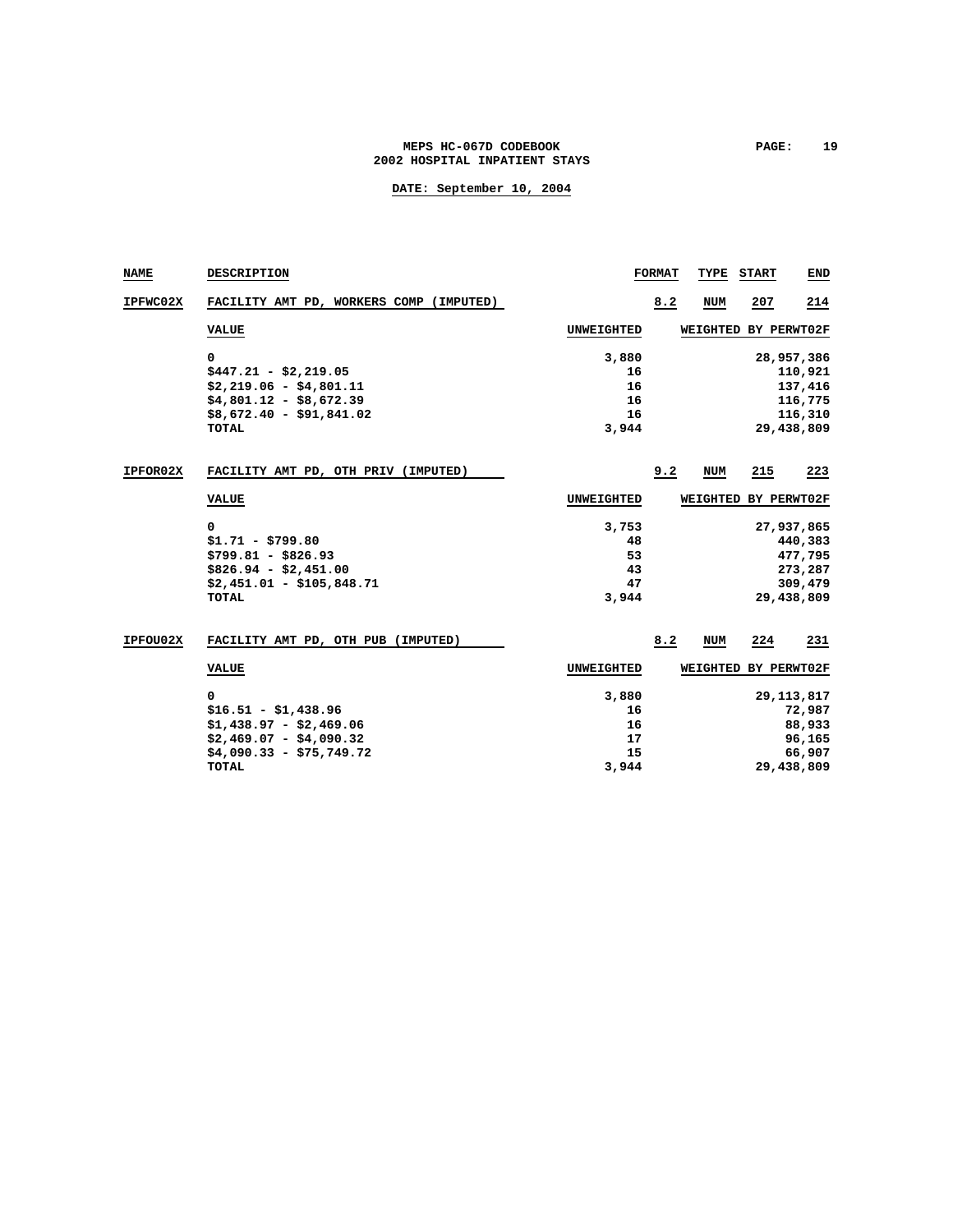### MEPS HC-067D CODEBOOK **PAGE:** 19 **2002 HOSPITAL INPATIENT STAYS**

| NAME     | <b>DESCRIPTION</b>                      |                   | <b>FORMAT</b> | TYPE       | <b>START</b> | END          |
|----------|-----------------------------------------|-------------------|---------------|------------|--------------|--------------|
| IPFWC02X | FACILITY AMT PD, WORKERS COMP (IMPUTED) |                   | 8.2           | <b>NUM</b> | 207          | 214          |
|          | <b>VALUE</b>                            | <b>UNWEIGHTED</b> |               | WEIGHTED   | BY PERWT02F  |              |
|          | 0                                       | 3,880             |               |            |              | 28,957,386   |
|          | $$447.21 - $2,219.05$                   | 16                |               |            |              | 110,921      |
|          | $$2,219.06 - $4,801.11$                 | 16                |               |            |              | 137,416      |
|          | $$4,801.12 - $8,672.39$                 | 16                |               |            |              | 116,775      |
|          | $$8,672.40 - $91,841.02$                | 16                |               |            |              | 116,310      |
|          | TOTAL                                   | 3,944             |               |            |              | 29,438,809   |
| IPFOR02X | FACILITY AMT PD, OTH PRIV (IMPUTED)     |                   | 9.2           | NUM        | 215          | 223          |
|          | <b>VALUE</b>                            | UNWEIGHTED        |               | WEIGHTED   | BY PERWT02F  |              |
|          | 0                                       | 3,753             |               |            |              | 27,937,865   |
|          | $$1.71 - $799.80$                       | 48                |               |            |              | 440,383      |
|          | $$799.81 - $826.93$                     | 53                |               |            |              | 477,795      |
|          | $$826.94 - $2,451.00$                   | 43                |               |            |              | 273,287      |
|          | $$2,451.01 - $105.848.71$               | 47                |               |            |              | 309,479      |
|          | <b>TOTAL</b>                            | 3,944             |               |            |              | 29,438,809   |
| IPFOU02X | FACILITY AMT PD, OTH PUB (IMPUTED)      |                   | 8.2           | <b>NUM</b> | 224          | 231          |
|          | <b>VALUE</b>                            | UNWEIGHTED        |               | WEIGHTED   | BY PERWT02F  |              |
|          | 0                                       | 3,880             |               |            |              | 29, 113, 817 |
|          | $$16.51 - $1,438.96$                    | 16                |               |            |              | 72,987       |
|          | $$1,438.97 - $2,469.06$                 | 16                |               |            |              | 88,933       |
|          | $$2,469.07 - $4,090.32$                 | 17                |               |            |              | 96,165       |
|          | $$4,090.33 - $75,749.72$                | 15                |               |            |              | 66,907       |
|          | <b>TOTAL</b>                            | 3,944             |               |            |              | 29,438,809   |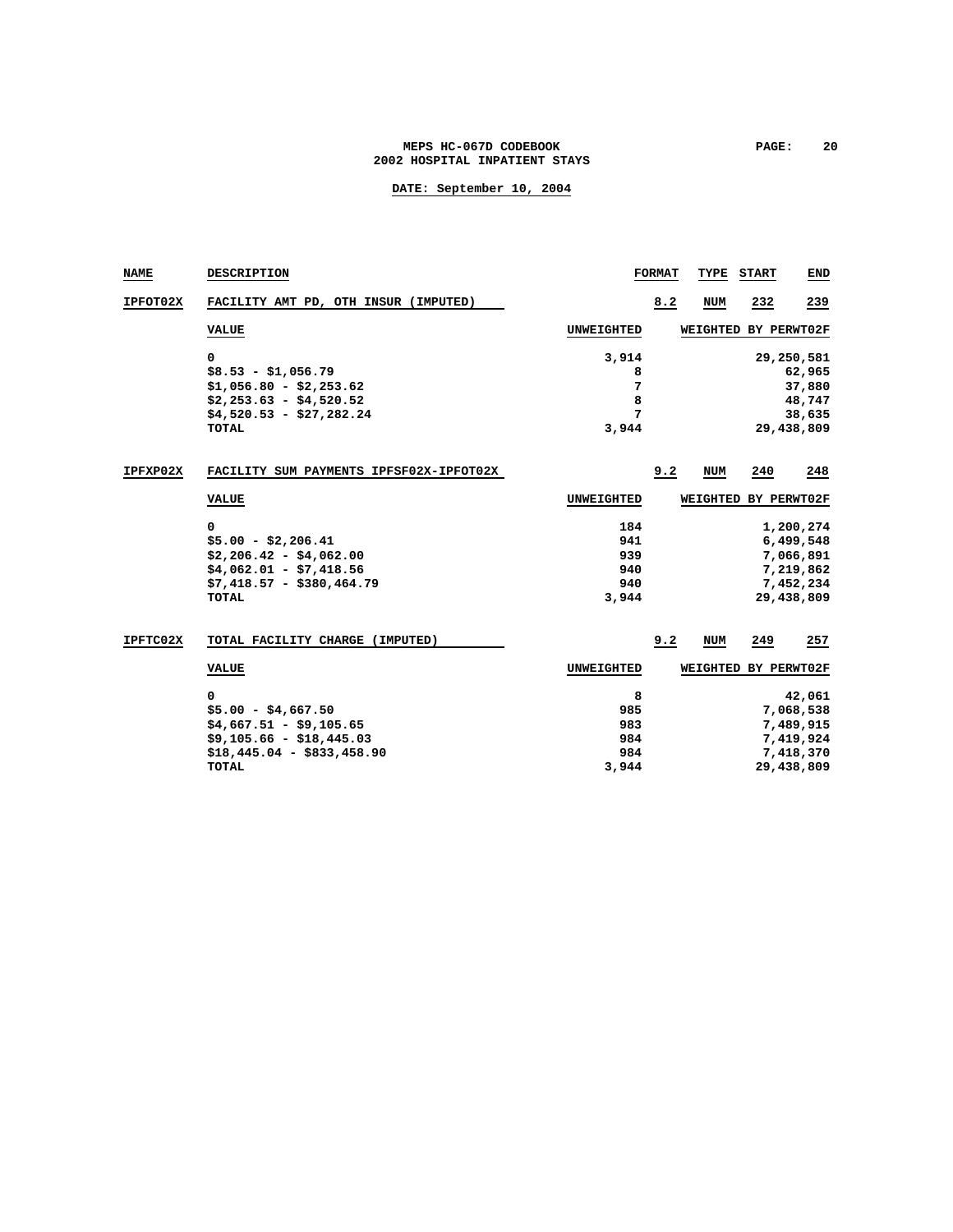### **MEPS HC-067D CODEBOOK PAGE: 20 2002 HOSPITAL INPATIENT STAYS**

| NAME     | <b>DESCRIPTION</b>                      |            | <b>FORMAT</b> | TYPE                 | <b>START</b> | END        |
|----------|-----------------------------------------|------------|---------------|----------------------|--------------|------------|
| IPFOT02X | FACILITY AMT PD, OTH INSUR (IMPUTED)    |            | 8.2           | <b>NUM</b>           | 232          | 239        |
|          | <b>VALUE</b>                            | UNWEIGHTED |               | WEIGHTED             | BY PERWT02F  |            |
|          | 0                                       | 3,914      |               |                      |              | 29,250,581 |
|          | $$8.53 - $1,056.79$                     | 8          |               |                      |              | 62,965     |
|          | $$1,056.80 - $2,253.62$                 | 7          |               |                      |              | 37,880     |
|          | $$2,253.63 - $4,520.52$                 | 8          |               |                      |              | 48,747     |
|          | $$4,520.53 - $27,282.24$                | 7          |               |                      |              | 38,635     |
|          | TOTAL                                   | 3,944      |               |                      |              | 29,438,809 |
| IPFXP02X | FACILITY SUM PAYMENTS IPFSF02X-IPFOT02X |            | 9.2           | <b>NUM</b>           | 240          | 248        |
|          | <b>VALUE</b>                            | UNWEIGHTED |               | WEIGHTED BY PERWT02F |              |            |
|          | 0                                       | 184        |               |                      |              | 1,200,274  |
|          | $$5.00 - $2,206.41$                     | 941        |               |                      |              | 6,499,548  |
|          | $$2,206.42 - $4,062.00$                 | 939        |               |                      |              | 7,066,891  |
|          | $$4,062.01 - $7,418.56$                 | 940        |               |                      |              | 7,219,862  |
|          | $$7,418.57 - $380,464.79$               | 940        |               |                      |              | 7,452,234  |
|          | <b>TOTAL</b>                            | 3,944      |               |                      |              | 29,438,809 |
| IPFTC02X | TOTAL FACILITY CHARGE (IMPUTED)         |            | 9.2           | <b>NUM</b>           | 249          | 257        |
|          | <b>VALUE</b>                            | UNWEIGHTED |               | WEIGHTED BY PERWT02F |              |            |
|          | 0                                       | 8          |               |                      |              | 42,061     |
|          | $$5.00 - $4,667.50$                     | 985        |               |                      |              | 7,068,538  |
|          | $$4,667.51 - $9,105.65$                 | 983        |               |                      |              | 7,489,915  |
|          | $$9,105.66 - $18,445.03$                | 984        |               |                      |              | 7,419,924  |
|          | $$18,445.04 - $833.458.90$              | 984        |               |                      |              | 7,418,370  |
|          | TOTAL                                   | 3,944      |               |                      |              | 29,438,809 |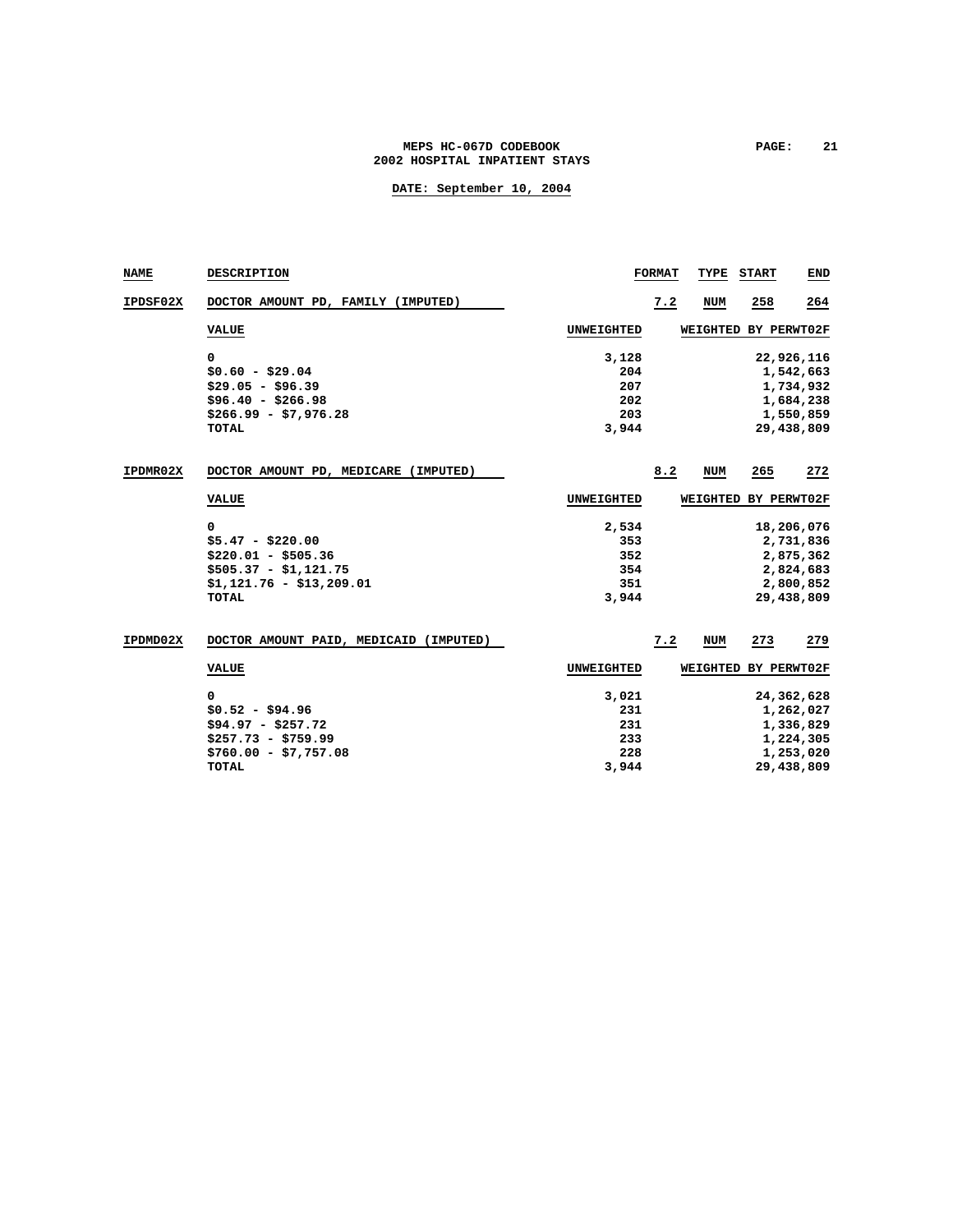### MEPS HC-067D CODEBOOK **PAGE:** 21 **2002 HOSPITAL INPATIENT STAYS**

| <b>NAME</b> | <b>DESCRIPTION</b>                     |                   | <b>FORMAT</b> | TYPE       | <b>START</b> | END        |
|-------------|----------------------------------------|-------------------|---------------|------------|--------------|------------|
| IPDSF02X    | DOCTOR AMOUNT PD, FAMILY (IMPUTED)     |                   | 7.2           | <b>NUM</b> | 258          | 264        |
|             | <b>VALUE</b>                           | <b>UNWEIGHTED</b> |               | WEIGHTED   | BY PERWT02F  |            |
|             | 0                                      | 3,128             |               |            |              | 22,926,116 |
|             | $$0.60 - $29.04$                       | 204               |               |            |              | 1,542,663  |
|             | $$29.05 - $96.39$                      | 207               |               |            |              | 1,734,932  |
|             | $$96.40 - $266.98$                     | 202               |               |            |              | 1,684,238  |
|             | $$266.99 - $7,976.28$                  | 203               |               |            |              | 1,550,859  |
|             | <b>TOTAL</b>                           | 3,944             |               |            |              | 29,438,809 |
| IPDMR02X    | DOCTOR AMOUNT PD, MEDICARE (IMPUTED)   |                   | 8.2           | <b>NUM</b> | 265          | 272        |
|             | <b>VALUE</b>                           | UNWEIGHTED        |               | WEIGHTED   | BY PERWT02F  |            |
|             | 0                                      | 2,534             |               |            |              | 18,206,076 |
|             | $$5.47 - $220.00$                      | 353               |               |            |              | 2,731,836  |
|             | $$220.01 - $505.36$                    | 352               |               |            |              | 2,875,362  |
|             | $$505.37 - $1,121.75$                  | 354               |               |            |              | 2,824,683  |
|             | $$1,121.76 - $13,209.01$               | 351               |               |            |              | 2,800,852  |
|             | <b>TOTAL</b>                           | 3,944             |               |            |              | 29,438,809 |
| IPDMD02X    | DOCTOR AMOUNT PAID, MEDICAID (IMPUTED) |                   | 7.2           | <b>NUM</b> | 273          | 279        |
|             | <b>VALUE</b>                           | UNWEIGHTED        |               | WEIGHTED   | BY PERWT02F  |            |
|             | 0                                      | 3,021             |               |            |              | 24,362,628 |
|             | $$0.52 - $94.96$                       | 231               |               |            |              | 1,262,027  |
|             | $$94.97 - $257.72$                     | 231               |               |            |              | 1,336,829  |
|             | $$257.73 - $759.99$                    | 233               |               |            |              | 1,224,305  |
|             | $$760.00 - $7,757.08$                  | 228               |               |            |              | 1,253,020  |
|             | <b>TOTAL</b>                           | 3,944             |               |            |              | 29,438,809 |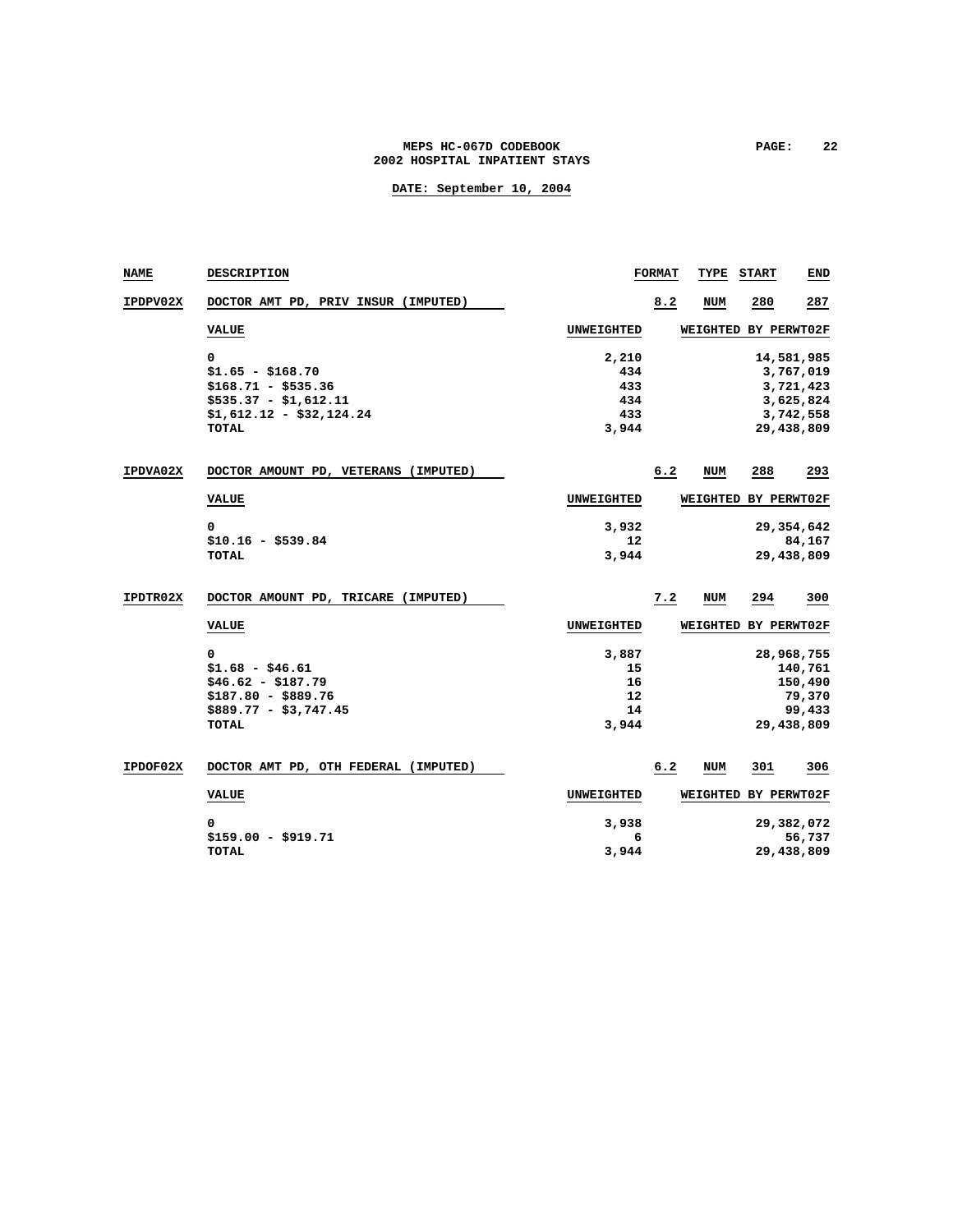### MEPS HC-067D CODEBOOK **PAGE:** 22 **2002 HOSPITAL INPATIENT STAYS**

| NAME     | <b>DESCRIPTION</b>                   |                   | <b>FORMAT</b> | TYPE                 | <b>START</b> | END          |
|----------|--------------------------------------|-------------------|---------------|----------------------|--------------|--------------|
| IPDPV02X | DOCTOR AMT PD, PRIV INSUR (IMPUTED)  |                   | 8.2           | <b>NUM</b>           | 280          | 287          |
|          | <b>VALUE</b>                         | <b>UNWEIGHTED</b> |               | WEIGHTED BY PERWT02F |              |              |
|          | 0                                    | 2,210             |               |                      |              | 14,581,985   |
|          | $$1.65 - $168.70$                    | 434               |               |                      |              | 3,767,019    |
|          | $$168.71 - $535.36$                  | 433               |               |                      |              | 3,721,423    |
|          | $$535.37 - $1,612.11$                | 434               |               |                      |              | 3,625,824    |
|          | $$1,612.12 - $32.124.24$             | 433               |               |                      |              | 3,742,558    |
|          | <b>TOTAL</b>                         | 3,944             |               |                      |              | 29,438,809   |
| IPDVA02X | DOCTOR AMOUNT PD, VETERANS (IMPUTED) |                   | 6.2           | NUM                  | 288          | 293          |
|          | <b>VALUE</b>                         | <b>UNWEIGHTED</b> |               | WEIGHTED BY PERWT02F |              |              |
|          | 0                                    | 3,932             |               |                      |              | 29, 354, 642 |
|          | $$10.16 - $539.84$                   | 12                |               |                      |              | 84,167       |
|          | <b>TOTAL</b>                         | 3,944             |               |                      |              | 29,438,809   |
| IPDTR02X | DOCTOR AMOUNT PD, TRICARE (IMPUTED)  |                   | 7.2           | NUM                  | 294          | 300          |
|          |                                      |                   |               |                      |              |              |
|          | <b>VALUE</b>                         | <b>UNWEIGHTED</b> |               | WEIGHTED BY PERWT02F |              |              |
|          | 0                                    | 3,887             |               |                      |              | 28,968,755   |
|          | $$1.68 - $46.61$                     | 15                |               |                      |              | 140,761      |
|          | $$46.62 - $187.79$                   | 16                |               |                      |              | 150,490      |
|          | $$187.80 - $889.76$                  | 12                |               |                      |              | 79,370       |
|          | $$889.77 - $3,747.45$                | 14                |               |                      |              | 99,433       |
|          | <b>TOTAL</b>                         | 3,944             |               |                      |              | 29,438,809   |
| IPDOF02X | DOCTOR AMT PD, OTH FEDERAL (IMPUTED) |                   | 6.2           | NUM                  | 301          | 306          |
|          | <b>VALUE</b>                         | <b>UNWEIGHTED</b> |               | <b>WEIGHTED</b>      |              | BY PERWT02F  |
|          | 0                                    | 3,938             |               |                      |              | 29,382,072   |
|          | $$159.00 - $919.71$                  | 6                 |               |                      |              | 56,737       |
|          | TOTAL                                | 3,944             |               |                      |              | 29,438,809   |
|          |                                      |                   |               |                      |              |              |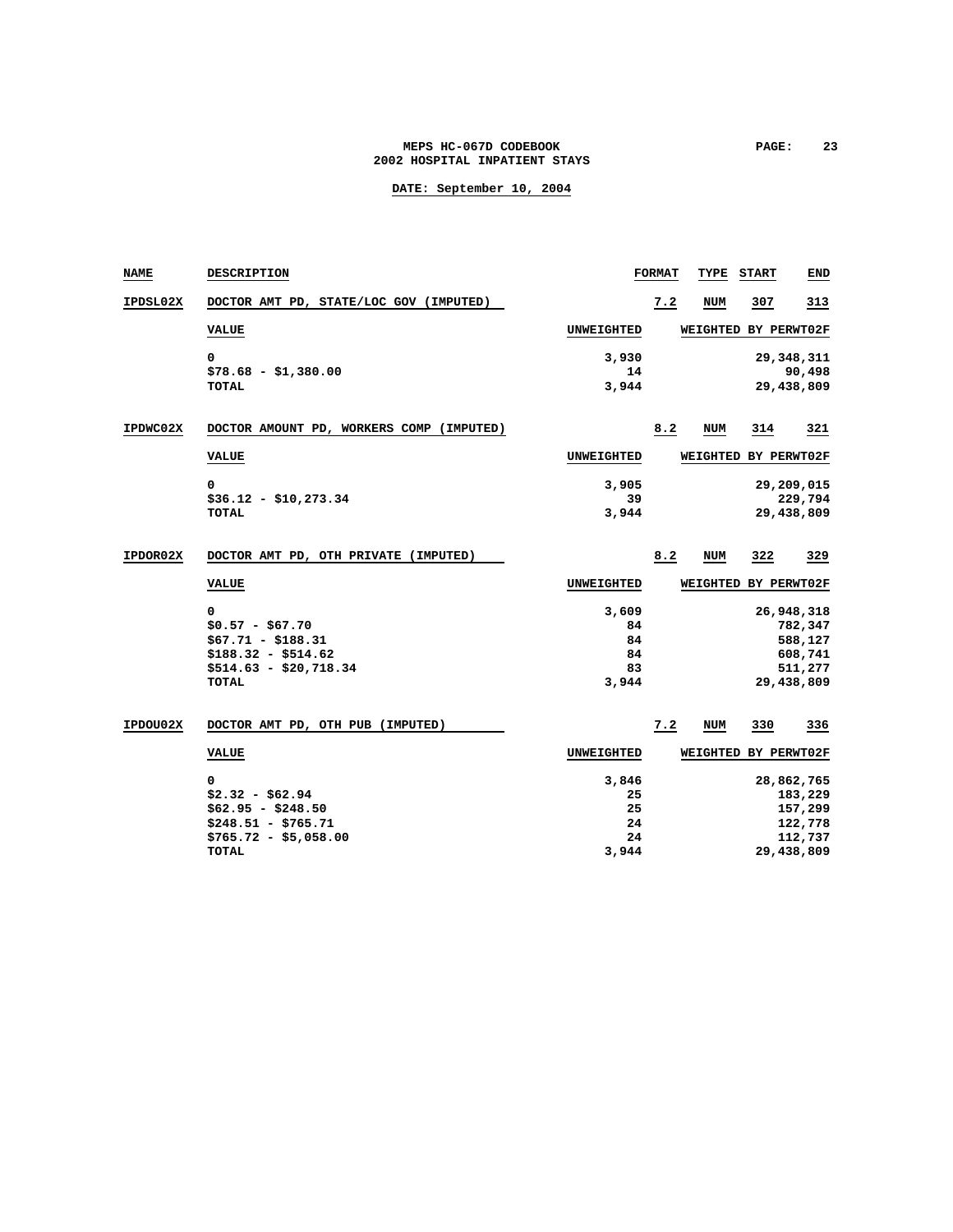### MEPS HC-067D CODEBOOK **PAGE:** 23 **2002 HOSPITAL INPATIENT STAYS**

| NAME     | <b>DESCRIPTION</b>                                                                                           |                                        | <b>FORMAT</b> | TYPE            | <b>START</b> | END                                                                  |
|----------|--------------------------------------------------------------------------------------------------------------|----------------------------------------|---------------|-----------------|--------------|----------------------------------------------------------------------|
| IPDSL02X | DOCTOR AMT PD, STATE/LOC GOV (IMPUTED)                                                                       |                                        | 7.2           | NUM             | 307          | 313                                                                  |
|          | <b>VALUE</b>                                                                                                 | <b>UNWEIGHTED</b>                      |               | <b>WEIGHTED</b> |              | BY PERWT02F                                                          |
|          | 0<br>$$78.68 - $1,380.00$<br><b>TOTAL</b>                                                                    | 3,930<br>14<br>3,944                   |               |                 |              | 29, 348, 311<br>90,498<br>29,438,809                                 |
| IPDWC02X | DOCTOR AMOUNT PD, WORKERS COMP (IMPUTED)                                                                     |                                        | 8.2           | NUM             | 314          | 321                                                                  |
|          | <b>VALUE</b>                                                                                                 | <b>UNWEIGHTED</b>                      |               | <b>WEIGHTED</b> |              | BY PERWT02F                                                          |
|          | 0<br>$$36.12 - $10.273.34$<br><b>TOTAL</b>                                                                   | 3,905<br>39<br>3,944                   |               |                 |              | 29,209,015<br>229,794<br>29,438,809                                  |
| IPDOR02X | DOCTOR AMT PD, OTH PRIVATE (IMPUTED)                                                                         |                                        | 8.2           | NUM             | 322          | 329                                                                  |
|          | <b>VALUE</b>                                                                                                 | UNWEIGHTED                             |               | <b>WEIGHTED</b> |              | BY PERWT02F                                                          |
|          | 0<br>$$0.57 - $67.70$<br>$$67.71 - $188.31$<br>$$188.32 - $514.62$<br>$$514.63 - $20,718.34$<br><b>TOTAL</b> | 3,609<br>84<br>84<br>84<br>83<br>3,944 |               |                 |              | 26,948,318<br>782,347<br>588,127<br>608,741<br>511,277<br>29,438,809 |
| IPDOU02X | DOCTOR AMT PD, OTH PUB (IMPUTED)                                                                             |                                        | 7.2           | NUM             | 330          | 336                                                                  |
|          | <b>VALUE</b>                                                                                                 | <b>UNWEIGHTED</b>                      |               | WEIGHTED        |              | BY PERWT02F                                                          |
|          | 0<br>$$2.32 - $62.94$<br>$$62.95 - $248.50$<br>$$248.51 - $765.71$<br>$$765.72 - $5,058.00$<br>TOTAL         | 3,846<br>25<br>25<br>24<br>24<br>3,944 |               |                 |              | 28,862,765<br>183,229<br>157,299<br>122,778<br>112,737<br>29,438,809 |
|          |                                                                                                              |                                        |               |                 |              |                                                                      |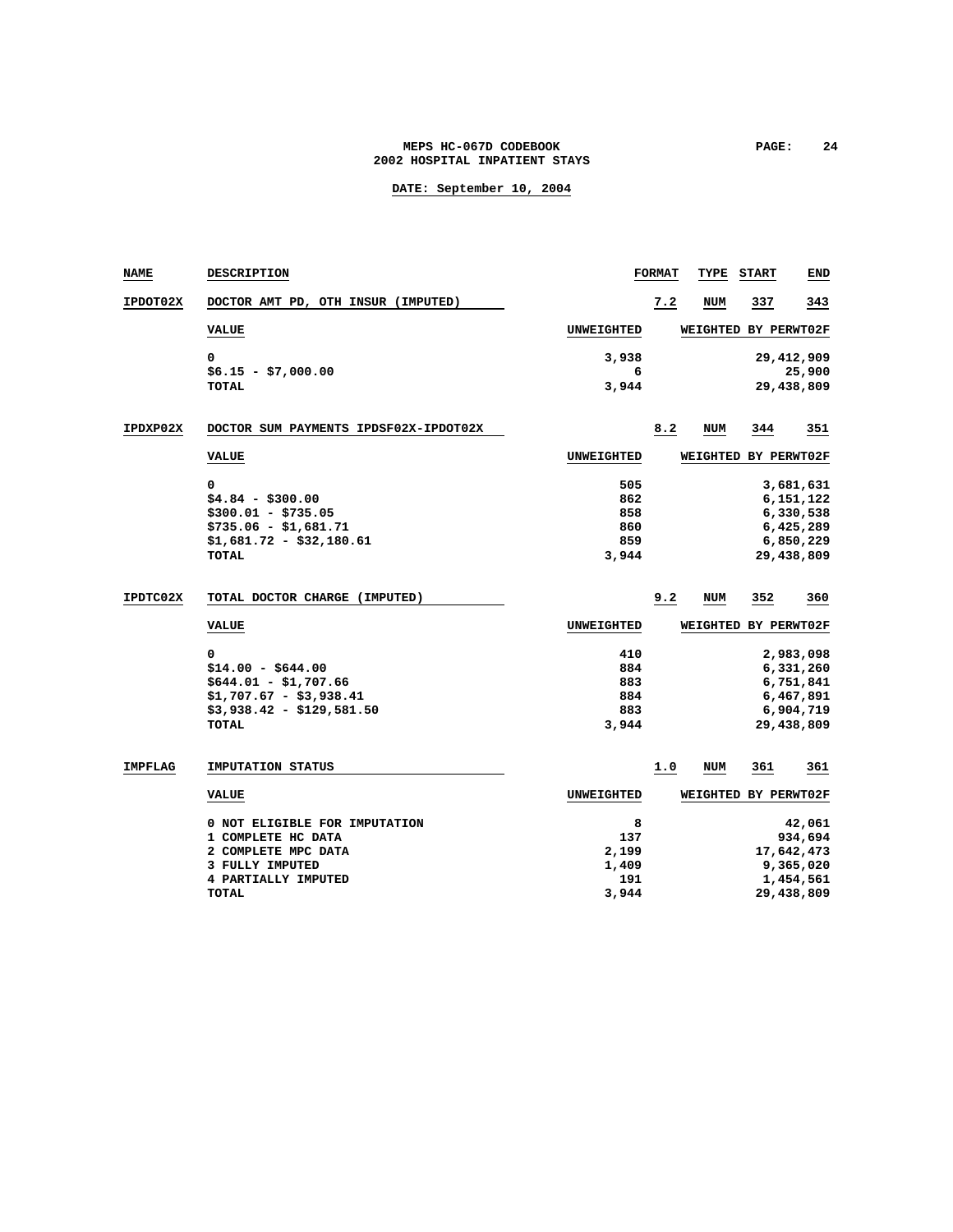### **MEPS HC-067D CODEBOOK PAGE: 24 2002 HOSPITAL INPATIENT STAYS**

| <b>NAME</b>     | <b>DESCRIPTION</b>                    |                   | <b>FORMAT</b> | TYPE       | <b>START</b>         | END          |
|-----------------|---------------------------------------|-------------------|---------------|------------|----------------------|--------------|
| IPDOT02X        | DOCTOR AMT PD, OTH INSUR (IMPUTED)    |                   | 7.2           | <b>NUM</b> | 337                  | 343          |
|                 | <b>VALUE</b>                          | <b>UNWEIGHTED</b> |               |            | WEIGHTED BY PERWT02F |              |
|                 | 0                                     | 3,938             |               |            |                      | 29, 412, 909 |
|                 | $$6.15 - $7,000.00$                   | 6                 |               |            |                      | 25,900       |
|                 | <b>TOTAL</b>                          | 3,944             |               |            |                      | 29,438,809   |
| IPDXP02X        | DOCTOR SUM PAYMENTS IPDSF02X-IPDOT02X |                   | 8.2           | NUM        | 344                  | 351          |
|                 | <b>VALUE</b>                          | <b>UNWEIGHTED</b> |               |            | WEIGHTED BY PERWT02F |              |
|                 | 0                                     | 505               |               |            |                      | 3,681,631    |
|                 | $$4.84 - $300.00$                     | 862               |               |            |                      | 6,151,122    |
|                 | $$300.01 - $735.05$                   | 858               |               |            |                      | 6,330,538    |
|                 | $$735.06 - $1,681.71$                 | 860               |               |            |                      | 6,425,289    |
|                 | $$1,681.72 - $32,180.61$              | 859               |               |            |                      | 6,850,229    |
|                 | <b>TOTAL</b>                          | 3,944             |               |            |                      | 29,438,809   |
| <b>IPDTC02X</b> | TOTAL DOCTOR CHARGE (IMPUTED)         |                   | 9.2           | NUM        | 352                  | 360          |
|                 | <b>VALUE</b>                          | <b>UNWEIGHTED</b> |               |            | WEIGHTED BY PERWT02F |              |
|                 | 0                                     | 410               |               |            |                      | 2,983,098    |
|                 | $$14.00 - $644.00$                    | 884               |               |            |                      | 6,331,260    |
|                 | $$644.01 - $1,707.66$                 | 883               |               |            |                      | 6,751,841    |
|                 | $$1,707.67 - $3,938.41$               | 884               |               |            |                      | 6,467,891    |
|                 | $$3,938.42 - $129.581.50$             | 883               |               |            |                      | 6,904,719    |
|                 | <b>TOTAL</b>                          | 3,944             |               |            |                      | 29,438,809   |
| <b>IMPFLAG</b>  | <b>IMPUTATION STATUS</b>              |                   | 1.0           | NUM        | 361                  | 361          |
|                 | <b>VALUE</b>                          | <b>UNWEIGHTED</b> |               |            | WEIGHTED BY PERWT02F |              |
|                 | 0 NOT ELIGIBLE FOR IMPUTATION         | 8                 |               |            |                      | 42,061       |
|                 | 1 COMPLETE HC DATA                    | 137               |               |            |                      | 934,694      |
|                 | 2 COMPLETE MPC DATA                   | 2,199             |               |            |                      | 17,642,473   |
|                 | 3 FULLY IMPUTED                       | 1,409             |               |            |                      | 9,365,020    |
|                 | 4 PARTIALLY IMPUTED                   | 191               |               |            |                      | 1,454,561    |
|                 | <b>TOTAL</b>                          | 3,944             |               |            |                      | 29,438,809   |